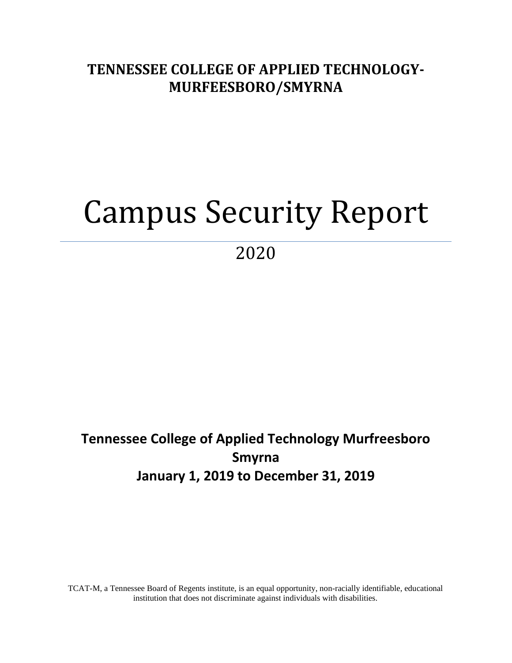## **TENNESSEE COLLEGE OF APPLIED TECHNOLOGY-MURFEESBORO/SMYRNA**

# Campus Security Report

2020

# **Tennessee College of Applied Technology Murfreesboro Smyrna January 1, 2019 to December 31, 2019**

TCAT-M, a Tennessee Board of Regents institute, is an equal opportunity, non-racially identifiable, educational institution that does not discriminate against individuals with disabilities.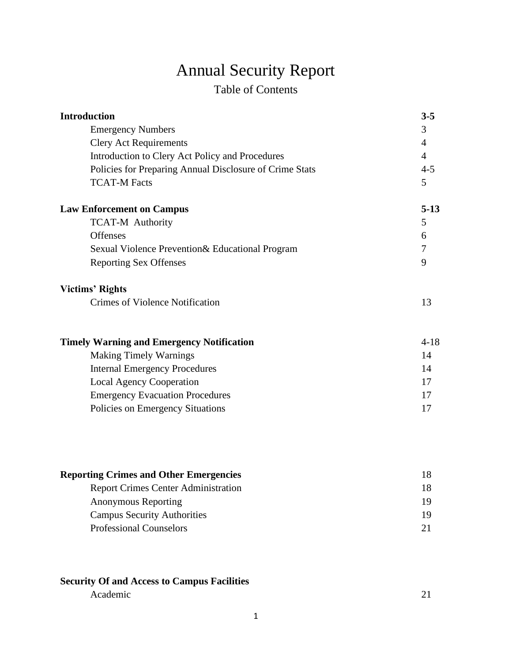# Annual Security Report

### Table of Contents

| <b>Introduction</b>                                     | $3 - 5$        |
|---------------------------------------------------------|----------------|
| <b>Emergency Numbers</b>                                | 3              |
| <b>Clery Act Requirements</b>                           | 4              |
| Introduction to Clery Act Policy and Procedures         | $\overline{4}$ |
| Policies for Preparing Annual Disclosure of Crime Stats | $4 - 5$        |
| <b>TCAT-M Facts</b>                                     | 5              |
| <b>Law Enforcement on Campus</b>                        | $5-13$         |
| <b>TCAT-M Authority</b>                                 | 5              |
| <b>Offenses</b>                                         | 6              |
| Sexual Violence Prevention& Educational Program         | $\tau$         |
| <b>Reporting Sex Offenses</b>                           | 9              |
| <b>Victims' Rights</b>                                  |                |
| Crimes of Violence Notification                         | 13             |
| <b>Timely Warning and Emergency Notification</b>        | $4 - 18$       |
| <b>Making Timely Warnings</b>                           | 14             |
| <b>Internal Emergency Procedures</b>                    | 14             |
| <b>Local Agency Cooperation</b>                         | 17             |
| <b>Emergency Evacuation Procedures</b>                  | 17             |
| Policies on Emergency Situations                        | 17             |

| 19  |
|-----|
| 19. |
|     |
|     |

### **Security Of and Access to Campus Facilities** Academic 21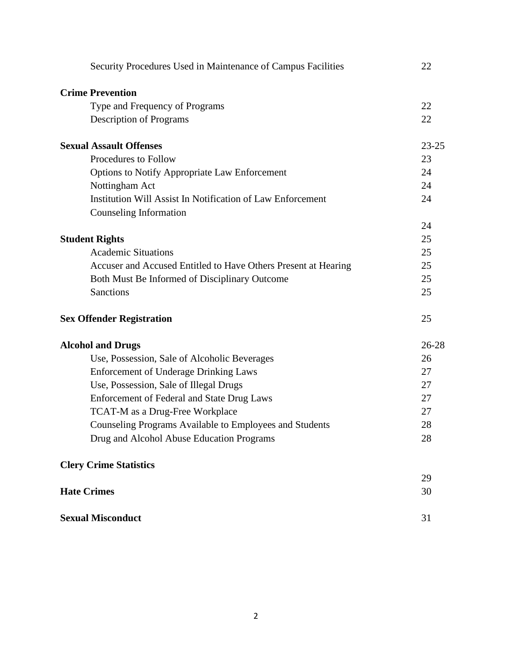| Security Procedures Used in Maintenance of Campus Facilities   | 22        |
|----------------------------------------------------------------|-----------|
| <b>Crime Prevention</b>                                        |           |
| Type and Frequency of Programs                                 | 22        |
| <b>Description of Programs</b>                                 | 22        |
| <b>Sexual Assault Offenses</b>                                 | $23 - 25$ |
| Procedures to Follow                                           | 23        |
| Options to Notify Appropriate Law Enforcement                  | 24        |
| Nottingham Act                                                 | 24        |
| Institution Will Assist In Notification of Law Enforcement     | 24        |
| Counseling Information                                         |           |
|                                                                | 24        |
| <b>Student Rights</b>                                          | 25        |
| <b>Academic Situations</b>                                     | 25        |
| Accuser and Accused Entitled to Have Others Present at Hearing | 25        |
| Both Must Be Informed of Disciplinary Outcome                  | 25        |
| <b>Sanctions</b>                                               | 25        |
| <b>Sex Offender Registration</b>                               | 25        |
| <b>Alcohol and Drugs</b>                                       | $26 - 28$ |
| Use, Possession, Sale of Alcoholic Beverages                   | 26        |
| <b>Enforcement of Underage Drinking Laws</b>                   | 27        |
| Use, Possession, Sale of Illegal Drugs                         | 27        |
| Enforcement of Federal and State Drug Laws                     | 27        |
| TCAT-M as a Drug-Free Workplace                                | 27        |
| Counseling Programs Available to Employees and Students        | 28        |
| Drug and Alcohol Abuse Education Programs                      | 28        |
| <b>Clery Crime Statistics</b>                                  |           |
|                                                                | 29        |
| <b>Hate Crimes</b>                                             | 30        |
| <b>Sexual Misconduct</b>                                       | 31        |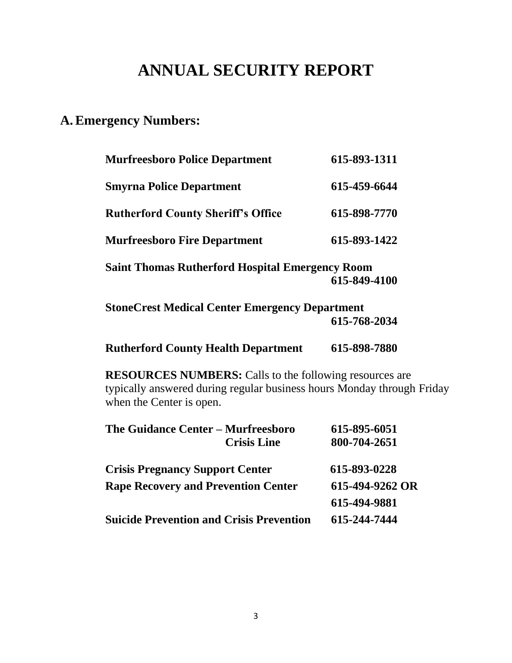# **ANNUAL SECURITY REPORT**

### **A.Emergency Numbers:**

| <b>Murfreesboro Police Department</b>                  | 615-893-1311 |
|--------------------------------------------------------|--------------|
| <b>Smyrna Police Department</b>                        | 615-459-6644 |
| <b>Rutherford County Sheriff's Office</b>              | 615-898-7770 |
| <b>Murfreesboro Fire Department</b>                    | 615-893-1422 |
| <b>Saint Thomas Rutherford Hospital Emergency Room</b> | 615-849-4100 |
| <b>StoneCrest Medical Center Emergency Department</b>  | 615-768-2034 |

**Rutherford County Health Department 615-898-7880**

**RESOURCES NUMBERS:** Calls to the following resources are typically answered during regular business hours Monday through Friday

when the Center is open.

| The Guidance Center - Murfreesboro              | 615-895-6051    |
|-------------------------------------------------|-----------------|
| <b>Crisis Line</b>                              | 800-704-2651    |
| <b>Crisis Pregnancy Support Center</b>          | 615-893-0228    |
| <b>Rape Recovery and Prevention Center</b>      | 615-494-9262 OR |
|                                                 | 615-494-9881    |
| <b>Suicide Prevention and Crisis Prevention</b> | 615-244-7444    |
|                                                 |                 |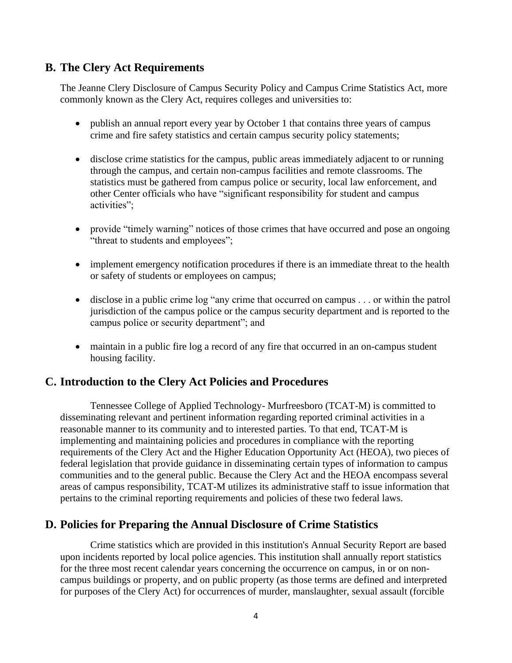### **B. The Clery Act Requirements**

The Jeanne Clery Disclosure of Campus Security Policy and Campus Crime Statistics Act, more commonly known as the Clery Act, requires colleges and universities to:

- publish an annual report every year by October 1 that contains three years of campus crime and fire safety statistics and certain campus security policy statements;
- disclose crime statistics for the campus, public areas immediately adjacent to or running through the campus, and certain non-campus facilities and remote classrooms. The statistics must be gathered from campus police or security, local law enforcement, and other Center officials who have "significant responsibility for student and campus activities";
- provide "timely warning" notices of those crimes that have occurred and pose an ongoing "threat to students and employees";
- implement emergency notification procedures if there is an immediate threat to the health or safety of students or employees on campus;
- disclose in a public crime log "any crime that occurred on campus . . . or within the patrol jurisdiction of the campus police or the campus security department and is reported to the campus police or security department"; and
- maintain in a public fire log a record of any fire that occurred in an on-campus student housing facility.

### **C. Introduction to the Clery Act Policies and Procedures**

Tennessee College of Applied Technology- Murfreesboro (TCAT-M) is committed to disseminating relevant and pertinent information regarding reported criminal activities in a reasonable manner to its community and to interested parties. To that end, TCAT-M is implementing and maintaining policies and procedures in compliance with the reporting requirements of the Clery Act and the Higher Education Opportunity Act (HEOA), two pieces of federal legislation that provide guidance in disseminating certain types of information to campus communities and to the general public. Because the Clery Act and the HEOA encompass several areas of campus responsibility, TCAT-M utilizes its administrative staff to issue information that pertains to the criminal reporting requirements and policies of these two federal laws.

### **D. Policies for Preparing the Annual Disclosure of Crime Statistics**

Crime statistics which are provided in this institution's Annual Security Report are based upon incidents reported by local police agencies. This institution shall annually report statistics for the three most recent calendar years concerning the occurrence on campus, in or on noncampus buildings or property, and on public property (as those terms are defined and interpreted for purposes of the Clery Act) for occurrences of murder, manslaughter, sexual assault (forcible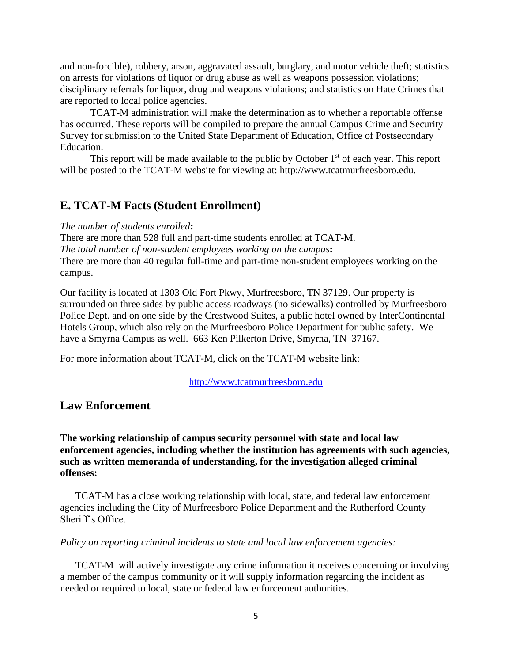and non-forcible), robbery, arson, aggravated assault, burglary, and motor vehicle theft; statistics on arrests for violations of liquor or drug abuse as well as weapons possession violations; disciplinary referrals for liquor, drug and weapons violations; and statistics on Hate Crimes that are reported to local police agencies.

TCAT-M administration will make the determination as to whether a reportable offense has occurred. These reports will be compiled to prepare the annual Campus Crime and Security Survey for submission to the United State Department of Education, Office of Postsecondary Education.

This report will be made available to the public by October  $1<sup>st</sup>$  of each year. This report will be posted to the TCAT-M website for viewing at: http://www.tcatmurfreesboro.edu.

### **E. TCAT-M Facts (Student Enrollment)**

*The number of students enrolled***:** 

There are more than 528 full and part-time students enrolled at TCAT-M. *The total number of non-student employees working on the campus***:**  There are more than 40 regular full-time and part-time non-student employees working on the campus.

Our facility is located at 1303 Old Fort Pkwy, Murfreesboro, TN 37129. Our property is surrounded on three sides by public access roadways (no sidewalks) controlled by Murfreesboro Police Dept. and on one side by the Crestwood Suites, a public hotel owned by InterContinental Hotels Group, which also rely on the Murfreesboro Police Department for public safety. We have a Smyrna Campus as well. 663 Ken Pilkerton Drive, Smyrna, TN 37167.

For more information about TCAT-M, click on the TCAT-M website link:

[http://www.tcatmurfreesboro.edu](http://www.tcatmurfreesboro.edu/)

### **Law Enforcement**

**The working relationship of campus security personnel with state and local law enforcement agencies, including whether the institution has agreements with such agencies, such as written memoranda of understanding, for the investigation alleged criminal offenses:**

TCAT-M has a close working relationship with local, state, and federal law enforcement agencies including the City of Murfreesboro Police Department and the Rutherford County Sheriff's Office.

#### *Policy on reporting criminal incidents to state and local law enforcement agencies:*

TCAT-M will actively investigate any crime information it receives concerning or involving a member of the campus community or it will supply information regarding the incident as needed or required to local, state or federal law enforcement authorities.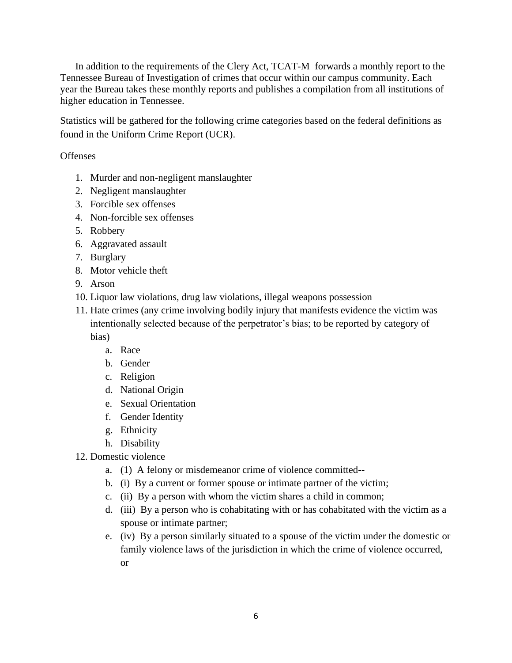In addition to the requirements of the Clery Act, TCAT-M forwards a monthly report to the Tennessee Bureau of Investigation of crimes that occur within our campus community. Each year the Bureau takes these monthly reports and publishes a compilation from all institutions of higher education in Tennessee.

Statistics will be gathered for the following crime categories based on the federal definitions as found in the Uniform Crime Report (UCR).

### **Offenses**

- 1. Murder and non-negligent manslaughter
- 2. Negligent manslaughter
- 3. Forcible sex offenses
- 4. Non-forcible sex offenses
- 5. Robbery
- 6. Aggravated assault
- 7. Burglary
- 8. Motor vehicle theft
- 9. Arson
- 10. Liquor law violations, drug law violations, illegal weapons possession
- 11. Hate crimes (any crime involving bodily injury that manifests evidence the victim was intentionally selected because of the perpetrator's bias; to be reported by category of

bias)

- a. Race
- b. Gender
- c. Religion
- d. National Origin
- e. Sexual Orientation
- f. Gender Identity
- g. Ethnicity
- h. Disability
- 12. Domestic violence
	- a. (1) A felony or misdemeanor crime of violence committed--
	- b. (i) By a current or former spouse or intimate partner of the victim;
	- c. (ii) By a person with whom the victim shares a child in common;
	- d. (iii) By a person who is cohabitating with or has cohabitated with the victim as a spouse or intimate partner;
	- e. (iv) By a person similarly situated to a spouse of the victim under the domestic or family violence laws of the jurisdiction in which the crime of violence occurred, or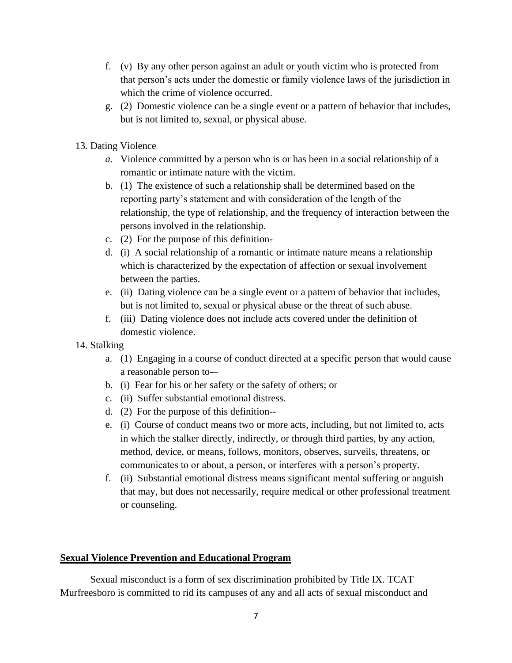- f. (v) By any other person against an adult or youth victim who is protected from that person's acts under the domestic or family violence laws of the jurisdiction in which the crime of violence occurred.
- g. (2) Domestic violence can be a single event or a pattern of behavior that includes, but is not limited to, sexual, or physical abuse.
- 13. Dating Violence
	- *a.* Violence committed by a person who is or has been in a social relationship of a romantic or intimate nature with the victim.
	- b. (1) The existence of such a relationship shall be determined based on the reporting party's statement and with consideration of the length of the relationship, the type of relationship, and the frequency of interaction between the persons involved in the relationship.
	- c. (2) For the purpose of this definition-
	- d. (i) A social relationship of a romantic or intimate nature means a relationship which is characterized by the expectation of affection or sexual involvement between the parties.
	- e. (ii) Dating violence can be a single event or a pattern of behavior that includes, but is not limited to, sexual or physical abuse or the threat of such abuse.
	- f. (iii) Dating violence does not include acts covered under the definition of domestic violence.
- 14. Stalking
	- a. (1) Engaging in a course of conduct directed at a specific person that would cause a reasonable person to-–
	- b. (i) Fear for his or her safety or the safety of others; or
	- c. (ii) Suffer substantial emotional distress.
	- d. (2) For the purpose of this definition--
	- e. (i) Course of conduct means two or more acts, including, but not limited to, acts in which the stalker directly, indirectly, or through third parties, by any action, method, device, or means, follows, monitors, observes, surveils, threatens, or communicates to or about, a person, or interferes with a person's property.
	- f. (ii) Substantial emotional distress means significant mental suffering or anguish that may, but does not necessarily, require medical or other professional treatment or counseling.

### **Sexual Violence Prevention and Educational Program**

Sexual misconduct is a form of sex discrimination prohibited by Title IX. TCAT Murfreesboro is committed to rid its campuses of any and all acts of sexual misconduct and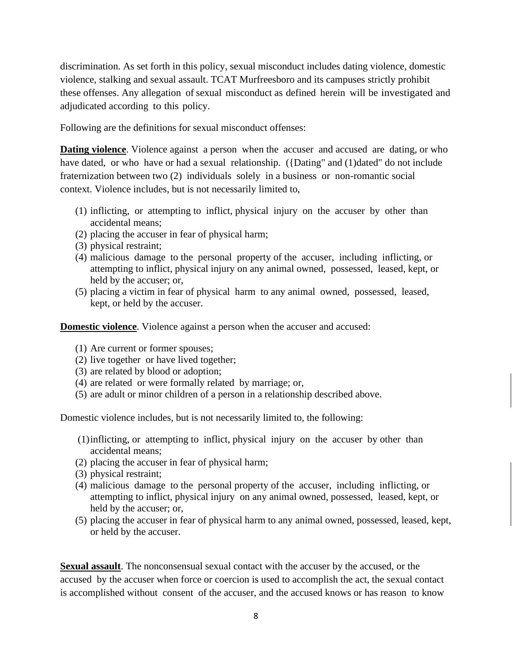discrimination. As set forth in this policy, sexual misconduct includes dating violence, domestic violence, stalking and sexual assault. TCAT Murfreesboro and its campuses strictly prohibit these offenses. Any allegation of sexual misconduct as defined herein will be investigated and adjudicated according to this policy.

Following are the definitions for sexual misconduct offenses:

**Dating violence**. Violence against a person when the accuser and accused are dating, or who have dated, or who have or had a sexual relationship. ({Dating" and (1)dated" do not include fraternization between two (2) individuals solely in a business or non-romantic social context. Violence includes, but is not necessarily limited to,

- (1) inflicting, or attempting to inflict, physical injury on the accuser by other than accidental means;
- (2) placing the accuser in fear of physical harm;
- (3) physical restraint;
- (4) malicious damage to the personal property of the accuser, including inflicting, or attempting to inflict, physical injury on any animal owned, possessed, leased, kept, or held by the accuser; or,
- (5) placing a victim in fear of physical harm to any animal owned, possessed, leased, kept, or held by the accuser.

**Domestic violence**. Violence against a person when the accuser and accused:

- (1) Are current or former spouses;
- (2) live together or have lived together;
- (3) are related by blood or adoption;
- (4) are related or were formally related by marriage; or,
- (5) are adult or minor children of a person in a relationship described above.

Domestic violence includes, but is not necessarily limited to, the following:

- (1)inflicting, or attempting to inflict, physical injury on the accuser by other than accidental means;
- (2) placing the accuser in fear of physical harm;
- (3) physical restraint;
- (4) malicious damage to the personal property of the accuser, including inflicting, or attempting to inflict, physical injury on any animal owned, possessed, leased, kept, or held by the accuser; or,
- (5) placing the accuser in fear of physical harm to any animal owned, possessed, leased, kept, or held by the accuser.

**Sexual assault**. The nonconsensual sexual contact with the accuser by the accused, or the accused by the accuser when force or coercion is used to accomplish the act, the sexual contact is accomplished without consent of the accuser, and the accused knows or has reason to know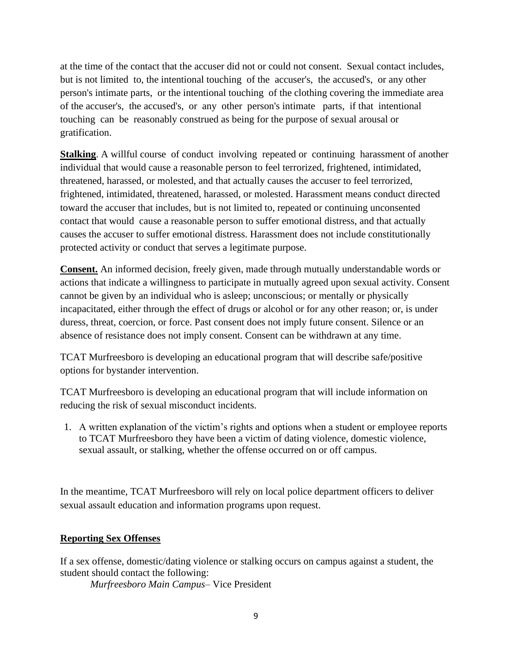at the time of the contact that the accuser did not or could not consent. Sexual contact includes, but is not limited to, the intentional touching of the accuser's, the accused's, or any other person's intimate parts, or the intentional touching of the clothing covering the immediate area of the accuser's, the accused's, or any other person's intimate parts, if that intentional touching can be reasonably construed as being for the purpose of sexual arousal or gratification.

**Stalking**. A willful course of conduct involving repeated or continuing harassment of another individual that would cause a reasonable person to feel terrorized, frightened, intimidated, threatened, harassed, or molested, and that actually causes the accuser to feel terrorized, frightened, intimidated, threatened, harassed, or molested. Harassment means conduct directed toward the accuser that includes, but is not limited to, repeated or continuing unconsented contact that would cause a reasonable person to suffer emotional distress, and that actually causes the accuser to suffer emotional distress. Harassment does not include constitutionally protected activity or conduct that serves a legitimate purpose.

**Consent.** An informed decision, freely given, made through mutually understandable words or actions that indicate a willingness to participate in mutually agreed upon sexual activity. Consent cannot be given by an individual who is asleep; unconscious; or mentally or physically incapacitated, either through the effect of drugs or alcohol or for any other reason; or, is under duress, threat, coercion, or force. Past consent does not imply future consent. Silence or an absence of resistance does not imply consent. Consent can be withdrawn at any time.

TCAT Murfreesboro is developing an educational program that will describe safe/positive options for bystander intervention.

TCAT Murfreesboro is developing an educational program that will include information on reducing the risk of sexual misconduct incidents.

1. A written explanation of the victim's rights and options when a student or employee reports to TCAT Murfreesboro they have been a victim of dating violence, domestic violence, sexual assault, or stalking, whether the offense occurred on or off campus.

In the meantime, TCAT Murfreesboro will rely on local police department officers to deliver sexual assault education and information programs upon request.

### **Reporting Sex Offenses**

If a sex offense, domestic/dating violence or stalking occurs on campus against a student, the student should contact the following:

*Murfreesboro Main Campus*– Vice President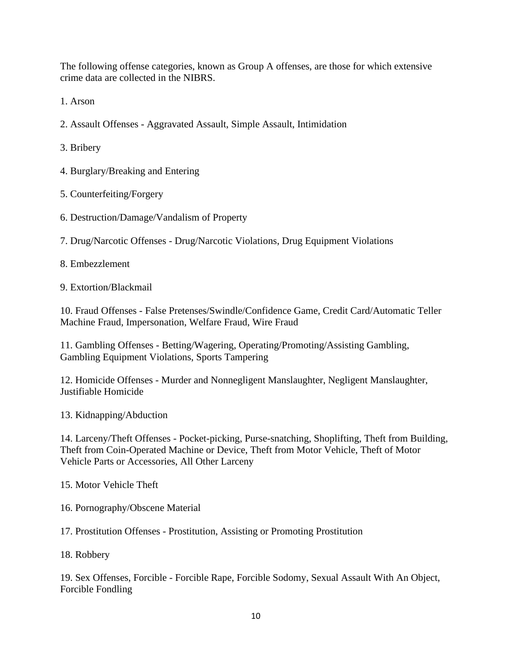The following offense categories, known as Group A offenses, are those for which extensive crime data are collected in the NIBRS.

1. Arson

2. Assault Offenses - Aggravated Assault, Simple Assault, Intimidation

3. Bribery

4. Burglary/Breaking and Entering

5. Counterfeiting/Forgery

6. Destruction/Damage/Vandalism of Property

7. Drug/Narcotic Offenses - Drug/Narcotic Violations, Drug Equipment Violations

8. Embezzlement

9. Extortion/Blackmail

10. Fraud Offenses - False Pretenses/Swindle/Confidence Game, Credit Card/Automatic Teller Machine Fraud, Impersonation, Welfare Fraud, Wire Fraud

11. Gambling Offenses - Betting/Wagering, Operating/Promoting/Assisting Gambling, Gambling Equipment Violations, Sports Tampering

12. Homicide Offenses - Murder and Nonnegligent Manslaughter, Negligent Manslaughter, Justifiable Homicide

13. Kidnapping/Abduction

14. Larceny/Theft Offenses - Pocket-picking, Purse-snatching, Shoplifting, Theft from Building, Theft from Coin-Operated Machine or Device, Theft from Motor Vehicle, Theft of Motor Vehicle Parts or Accessories, All Other Larceny

15. Motor Vehicle Theft

16. Pornography/Obscene Material

17. Prostitution Offenses - Prostitution, Assisting or Promoting Prostitution

18. Robbery

19. Sex Offenses, Forcible - Forcible Rape, Forcible Sodomy, Sexual Assault With An Object, Forcible Fondling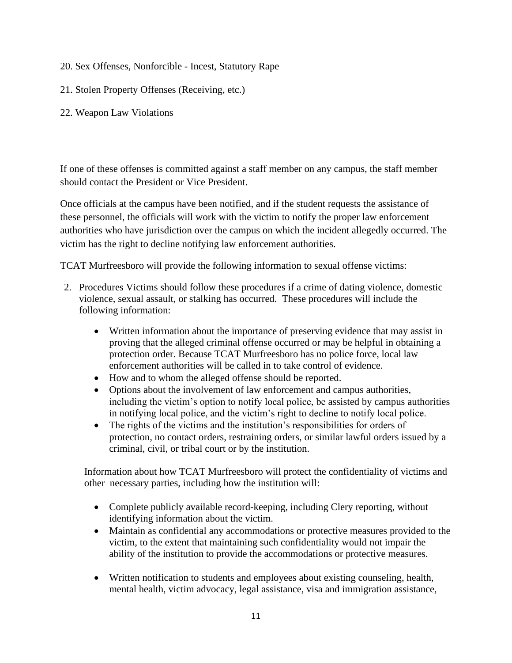- 20. Sex Offenses, Nonforcible Incest, Statutory Rape
- 21. Stolen Property Offenses (Receiving, etc.)
- 22. Weapon Law Violations

If one of these offenses is committed against a staff member on any campus, the staff member should contact the President or Vice President.

Once officials at the campus have been notified, and if the student requests the assistance of these personnel, the officials will work with the victim to notify the proper law enforcement authorities who have jurisdiction over the campus on which the incident allegedly occurred. The victim has the right to decline notifying law enforcement authorities.

TCAT Murfreesboro will provide the following information to sexual offense victims:

- 2. Procedures Victims should follow these procedures if a crime of dating violence, domestic violence, sexual assault, or stalking has occurred. These procedures will include the following information:
	- Written information about the importance of preserving evidence that may assist in proving that the alleged criminal offense occurred or may be helpful in obtaining a protection order. Because TCAT Murfreesboro has no police force, local law enforcement authorities will be called in to take control of evidence.
	- How and to whom the alleged offense should be reported.
	- Options about the involvement of law enforcement and campus authorities, including the victim's option to notify local police, be assisted by campus authorities in notifying local police, and the victim's right to decline to notify local police.
	- The rights of the victims and the institution's responsibilities for orders of protection, no contact orders, restraining orders, or similar lawful orders issued by a criminal, civil, or tribal court or by the institution.

Information about how TCAT Murfreesboro will protect the confidentiality of victims and other necessary parties, including how the institution will:

- Complete publicly available record-keeping, including Clery reporting, without identifying information about the victim.
- Maintain as confidential any accommodations or protective measures provided to the victim, to the extent that maintaining such confidentiality would not impair the ability of the institution to provide the accommodations or protective measures.
- Written notification to students and employees about existing counseling, health, mental health, victim advocacy, legal assistance, visa and immigration assistance,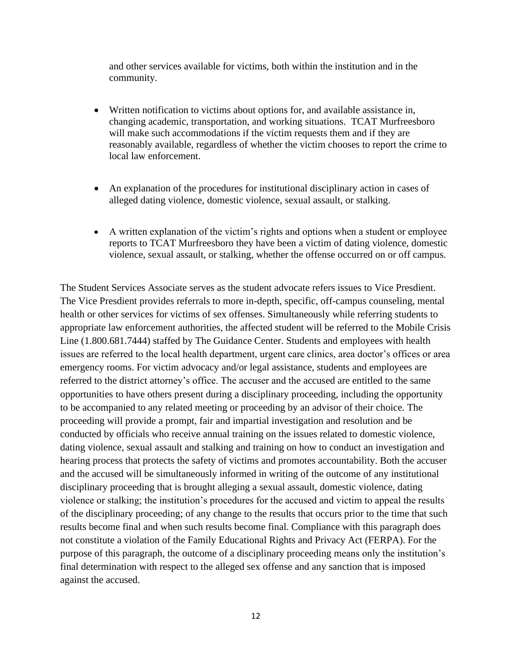and other services available for victims, both within the institution and in the community.

- Written notification to victims about options for, and available assistance in, changing academic, transportation, and working situations. TCAT Murfreesboro will make such accommodations if the victim requests them and if they are reasonably available, regardless of whether the victim chooses to report the crime to local law enforcement.
- An explanation of the procedures for institutional disciplinary action in cases of alleged dating violence, domestic violence, sexual assault, or stalking.
- A written explanation of the victim's rights and options when a student or employee reports to TCAT Murfreesboro they have been a victim of dating violence, domestic violence, sexual assault, or stalking, whether the offense occurred on or off campus.

The Student Services Associate serves as the student advocate refers issues to Vice Presdient. The Vice Presdient provides referrals to more in-depth, specific, off-campus counseling, mental health or other services for victims of sex offenses. Simultaneously while referring students to appropriate law enforcement authorities, the affected student will be referred to the Mobile Crisis Line (1.800.681.7444) staffed by The Guidance Center. Students and employees with health issues are referred to the local health department, urgent care clinics, area doctor's offices or area emergency rooms. For victim advocacy and/or legal assistance, students and employees are referred to the district attorney's office. The accuser and the accused are entitled to the same opportunities to have others present during a disciplinary proceeding, including the opportunity to be accompanied to any related meeting or proceeding by an advisor of their choice. The proceeding will provide a prompt, fair and impartial investigation and resolution and be conducted by officials who receive annual training on the issues related to domestic violence, dating violence, sexual assault and stalking and training on how to conduct an investigation and hearing process that protects the safety of victims and promotes accountability. Both the accuser and the accused will be simultaneously informed in writing of the outcome of any institutional disciplinary proceeding that is brought alleging a sexual assault, domestic violence, dating violence or stalking; the institution's procedures for the accused and victim to appeal the results of the disciplinary proceeding; of any change to the results that occurs prior to the time that such results become final and when such results become final. Compliance with this paragraph does not constitute a violation of the Family Educational Rights and Privacy Act (FERPA). For the purpose of this paragraph, the outcome of a disciplinary proceeding means only the institution's final determination with respect to the alleged sex offense and any sanction that is imposed against the accused.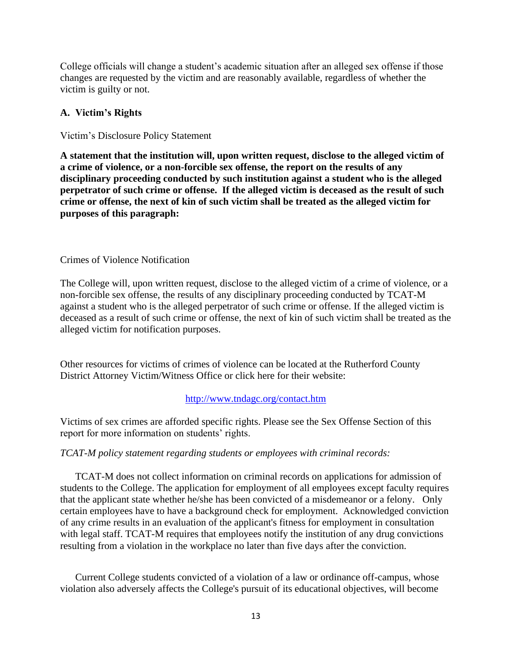College officials will change a student's academic situation after an alleged sex offense if those changes are requested by the victim and are reasonably available, regardless of whether the victim is guilty or not.

### **A. Victim's Rights**

### Victim's Disclosure Policy Statement

**A statement that the institution will, upon written request, disclose to the alleged victim of a crime of violence, or a non-forcible sex offense, the report on the results of any disciplinary proceeding conducted by such institution against a student who is the alleged perpetrator of such crime or offense. If the alleged victim is deceased as the result of such crime or offense, the next of kin of such victim shall be treated as the alleged victim for purposes of this paragraph:**

### Crimes of Violence Notification

The College will, upon written request, disclose to the alleged victim of a crime of violence, or a non-forcible sex offense, the results of any disciplinary proceeding conducted by TCAT-M against a student who is the alleged perpetrator of such crime or offense. If the alleged victim is deceased as a result of such crime or offense, the next of kin of such victim shall be treated as the alleged victim for notification purposes.

Other resources for victims of crimes of violence can be located at the Rutherford County District Attorney Victim/Witness Office or click here for their website:

### <http://www.tndagc.org/contact.htm>

Victims of sex crimes are afforded specific rights. Please see the Sex Offense Section of this report for more information on students' rights.

### *TCAT-M policy statement regarding students or employees with criminal records:*

TCAT-M does not collect information on criminal records on applications for admission of students to the College. The application for employment of all employees except faculty requires that the applicant state whether he/she has been convicted of a misdemeanor or a felony. Only certain employees have to have a background check for employment. Acknowledged conviction of any crime results in an evaluation of the applicant's fitness for employment in consultation with legal staff. TCAT-M requires that employees notify the institution of any drug convictions resulting from a violation in the workplace no later than five days after the conviction.

Current College students convicted of a violation of a law or ordinance off-campus, whose violation also adversely affects the College's pursuit of its educational objectives, will become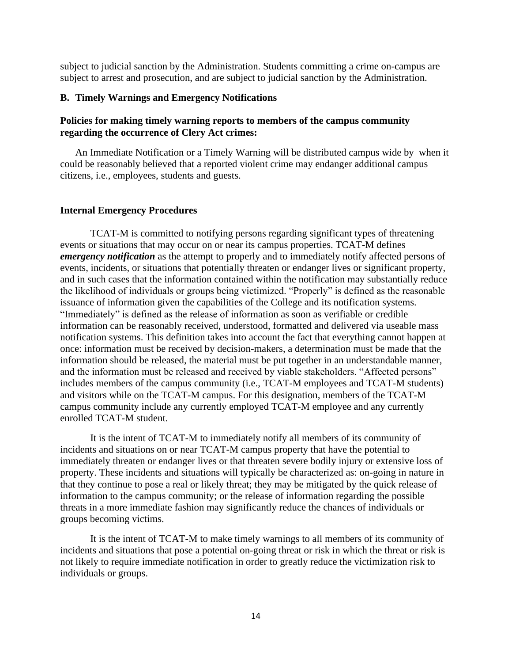subject to judicial sanction by the Administration. Students committing a crime on-campus are subject to arrest and prosecution, and are subject to judicial sanction by the Administration.

### **B. Timely Warnings and Emergency Notifications**

### **Policies for making timely warning reports to members of the campus community regarding the occurrence of Clery Act crimes:**

An Immediate Notification or a Timely Warning will be distributed campus wide by when it could be reasonably believed that a reported violent crime may endanger additional campus citizens, i.e., employees, students and guests.

#### **Internal Emergency Procedures**

TCAT-M is committed to notifying persons regarding significant types of threatening events or situations that may occur on or near its campus properties. TCAT-M defines *emergency notification* as the attempt to properly and to immediately notify affected persons of events, incidents, or situations that potentially threaten or endanger lives or significant property, and in such cases that the information contained within the notification may substantially reduce the likelihood of individuals or groups being victimized. "Properly" is defined as the reasonable issuance of information given the capabilities of the College and its notification systems. "Immediately" is defined as the release of information as soon as verifiable or credible information can be reasonably received, understood, formatted and delivered via useable mass notification systems. This definition takes into account the fact that everything cannot happen at once: information must be received by decision-makers, a determination must be made that the information should be released, the material must be put together in an understandable manner, and the information must be released and received by viable stakeholders. "Affected persons" includes members of the campus community (i.e., TCAT-M employees and TCAT-M students) and visitors while on the TCAT-M campus. For this designation, members of the TCAT-M campus community include any currently employed TCAT-M employee and any currently enrolled TCAT-M student.

It is the intent of TCAT-M to immediately notify all members of its community of incidents and situations on or near TCAT-M campus property that have the potential to immediately threaten or endanger lives or that threaten severe bodily injury or extensive loss of property. These incidents and situations will typically be characterized as: on-going in nature in that they continue to pose a real or likely threat; they may be mitigated by the quick release of information to the campus community; or the release of information regarding the possible threats in a more immediate fashion may significantly reduce the chances of individuals or groups becoming victims.

It is the intent of TCAT-M to make timely warnings to all members of its community of incidents and situations that pose a potential on-going threat or risk in which the threat or risk is not likely to require immediate notification in order to greatly reduce the victimization risk to individuals or groups.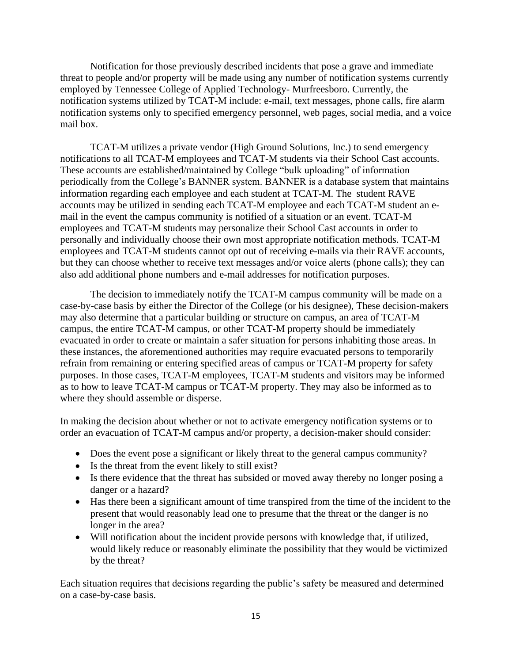Notification for those previously described incidents that pose a grave and immediate threat to people and/or property will be made using any number of notification systems currently employed by Tennessee College of Applied Technology- Murfreesboro. Currently, the notification systems utilized by TCAT-M include: e-mail, text messages, phone calls, fire alarm notification systems only to specified emergency personnel, web pages, social media, and a voice mail box.

TCAT-M utilizes a private vendor (High Ground Solutions, Inc.) to send emergency notifications to all TCAT-M employees and TCAT-M students via their School Cast accounts. These accounts are established/maintained by College "bulk uploading" of information periodically from the College's BANNER system. BANNER is a database system that maintains information regarding each employee and each student at TCAT-M. The student RAVE accounts may be utilized in sending each TCAT-M employee and each TCAT-M student an email in the event the campus community is notified of a situation or an event. TCAT-M employees and TCAT-M students may personalize their School Cast accounts in order to personally and individually choose their own most appropriate notification methods. TCAT-M employees and TCAT-M students cannot opt out of receiving e-mails via their RAVE accounts, but they can choose whether to receive text messages and/or voice alerts (phone calls); they can also add additional phone numbers and e-mail addresses for notification purposes.

The decision to immediately notify the TCAT-M campus community will be made on a case-by-case basis by either the Director of the College (or his designee), These decision-makers may also determine that a particular building or structure on campus, an area of TCAT-M campus, the entire TCAT-M campus, or other TCAT-M property should be immediately evacuated in order to create or maintain a safer situation for persons inhabiting those areas. In these instances, the aforementioned authorities may require evacuated persons to temporarily refrain from remaining or entering specified areas of campus or TCAT-M property for safety purposes. In those cases, TCAT-M employees, TCAT-M students and visitors may be informed as to how to leave TCAT-M campus or TCAT-M property. They may also be informed as to where they should assemble or disperse.

In making the decision about whether or not to activate emergency notification systems or to order an evacuation of TCAT-M campus and/or property, a decision-maker should consider:

- Does the event pose a significant or likely threat to the general campus community?
- Is the threat from the event likely to still exist?
- Is there evidence that the threat has subsided or moved away thereby no longer posing a danger or a hazard?
- Has there been a significant amount of time transpired from the time of the incident to the present that would reasonably lead one to presume that the threat or the danger is no longer in the area?
- Will notification about the incident provide persons with knowledge that, if utilized, would likely reduce or reasonably eliminate the possibility that they would be victimized by the threat?

Each situation requires that decisions regarding the public's safety be measured and determined on a case-by-case basis.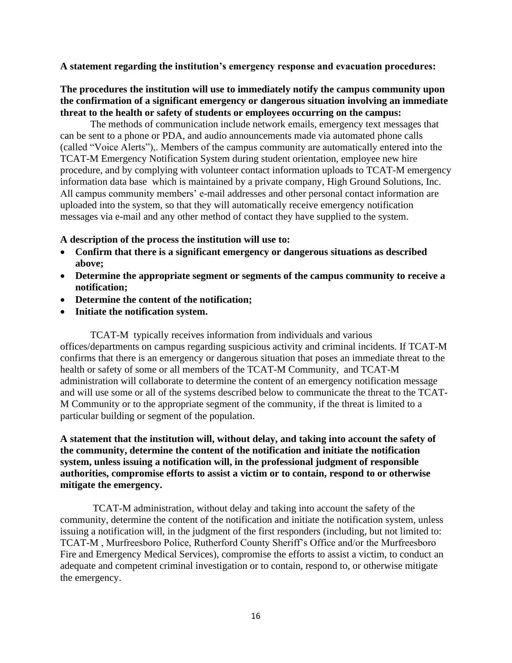### **A statement regarding the institution's emergency response and evacuation procedures:**

### **The procedures the institution will use to immediately notify the campus community upon the confirmation of a significant emergency or dangerous situation involving an immediate threat to the health or safety of students or employees occurring on the campus:**

The methods of communication include network emails, emergency text messages that can be sent to a phone or PDA, and audio announcements made via automated phone calls (called "Voice Alerts"),. Members of the campus community are automatically entered into the TCAT-M Emergency Notification System during student orientation, employee new hire procedure, and by complying with volunteer contact information uploads to TCAT-M emergency information data base which is maintained by a private company, High Ground Solutions, Inc. All campus community members' e-mail addresses and other personal contact information are uploaded into the system, so that they will automatically receive emergency notification messages via e-mail and any other method of contact they have supplied to the system.

#### **A description of the process the institution will use to:**

- **Confirm that there is a significant emergency or dangerous situations as described above;**
- **Determine the appropriate segment or segments of the campus community to receive a notification;**
- **Determine the content of the notification;**
- **Initiate the notification system.**

TCAT-M typically receives information from individuals and various offices/departments on campus regarding suspicious activity and criminal incidents. If TCAT-M confirms that there is an emergency or dangerous situation that poses an immediate threat to the health or safety of some or all members of the TCAT-M Community, and TCAT-M administration will collaborate to determine the content of an emergency notification message and will use some or all of the systems described below to communicate the threat to the TCAT-M Community or to the appropriate segment of the community, if the threat is limited to a particular building or segment of the population.

**A statement that the institution will, without delay, and taking into account the safety of the community, determine the content of the notification and initiate the notification system, unless issuing a notification will, in the professional judgment of responsible authorities, compromise efforts to assist a victim or to contain, respond to or otherwise mitigate the emergency.**

TCAT-M administration, without delay and taking into account the safety of the community, determine the content of the notification and initiate the notification system, unless issuing a notification will, in the judgment of the first responders (including, but not limited to: TCAT-M , Murfreesboro Police, Rutherford County Sheriff's Office and/or the Murfreesboro Fire and Emergency Medical Services), compromise the efforts to assist a victim, to conduct an adequate and competent criminal investigation or to contain, respond to, or otherwise mitigate the emergency.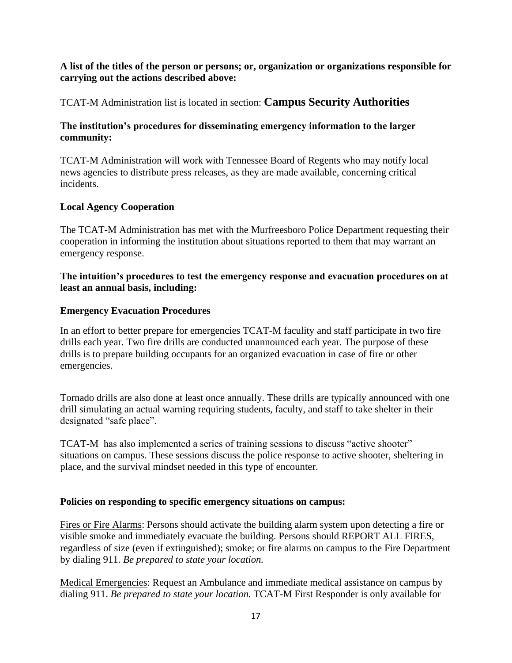### **A list of the titles of the person or persons; or, organization or organizations responsible for carrying out the actions described above:**

### TCAT-M Administration list is located in section: **Campus Security Authorities**

### **The institution's procedures for disseminating emergency information to the larger community:**

TCAT-M Administration will work with Tennessee Board of Regents who may notify local news agencies to distribute press releases, as they are made available, concerning critical incidents.

### **Local Agency Cooperation**

The TCAT-M Administration has met with the Murfreesboro Police Department requesting their cooperation in informing the institution about situations reported to them that may warrant an emergency response.

### **The intuition's procedures to test the emergency response and evacuation procedures on at least an annual basis, including:**

### **Emergency Evacuation Procedures**

In an effort to better prepare for emergencies TCAT-M faculity and staff participate in two fire drills each year. Two fire drills are conducted unannounced each year. The purpose of these drills is to prepare building occupants for an organized evacuation in case of fire or other emergencies.

Tornado drills are also done at least once annually. These drills are typically announced with one drill simulating an actual warning requiring students, faculty, and staff to take shelter in their designated "safe place".

TCAT-M has also implemented a series of training sessions to discuss "active shooter" situations on campus. These sessions discuss the police response to active shooter, sheltering in place, and the survival mindset needed in this type of encounter.

### **Policies on responding to specific emergency situations on campus:**

Fires or Fire Alarms: Persons should activate the building alarm system upon detecting a fire or visible smoke and immediately evacuate the building. Persons should REPORT ALL FIRES, regardless of size (even if extinguished); smoke; or fire alarms on campus to the Fire Department by dialing 911. *Be prepared to state your location.* 

Medical Emergencies: Request an Ambulance and immediate medical assistance on campus by dialing 911. *Be prepared to state your location.* TCAT-M First Responder is only available for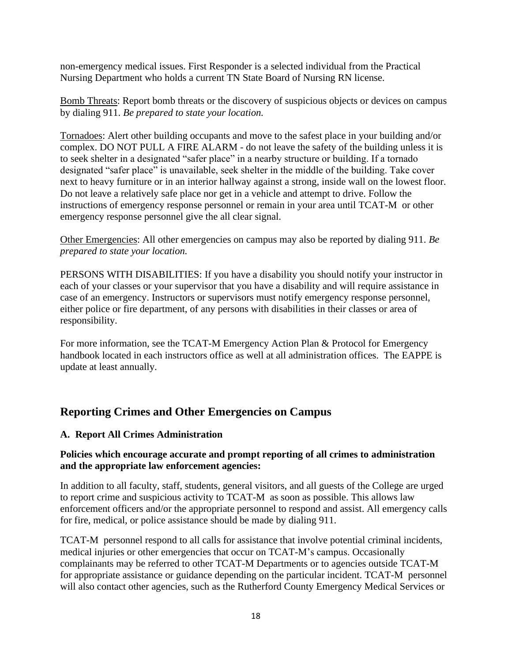non-emergency medical issues. First Responder is a selected individual from the Practical Nursing Department who holds a current TN State Board of Nursing RN license.

Bomb Threats: Report bomb threats or the discovery of suspicious objects or devices on campus by dialing 911. *Be prepared to state your location.* 

Tornadoes: Alert other building occupants and move to the safest place in your building and/or complex. DO NOT PULL A FIRE ALARM - do not leave the safety of the building unless it is to seek shelter in a designated "safer place" in a nearby structure or building. If a tornado designated "safer place" is unavailable, seek shelter in the middle of the building. Take cover next to heavy furniture or in an interior hallway against a strong, inside wall on the lowest floor. Do not leave a relatively safe place nor get in a vehicle and attempt to drive. Follow the instructions of emergency response personnel or remain in your area until TCAT-M or other emergency response personnel give the all clear signal.

Other Emergencies: All other emergencies on campus may also be reported by dialing 911. *Be prepared to state your location.* 

PERSONS WITH DISABILITIES: If you have a disability you should notify your instructor in each of your classes or your supervisor that you have a disability and will require assistance in case of an emergency. Instructors or supervisors must notify emergency response personnel, either police or fire department, of any persons with disabilities in their classes or area of responsibility.

For more information, see the TCAT-M Emergency Action Plan & Protocol for Emergency handbook located in each instructors office as well at all administration offices. The EAPPE is update at least annually.

### **Reporting Crimes and Other Emergencies on Campus**

### **A. Report All Crimes Administration**

### **Policies which encourage accurate and prompt reporting of all crimes to administration and the appropriate law enforcement agencies:**

In addition to all faculty, staff, students, general visitors, and all guests of the College are urged to report crime and suspicious activity to TCAT-M as soon as possible. This allows law enforcement officers and/or the appropriate personnel to respond and assist. All emergency calls for fire, medical, or police assistance should be made by dialing 911.

TCAT-M personnel respond to all calls for assistance that involve potential criminal incidents, medical injuries or other emergencies that occur on TCAT-M's campus. Occasionally complainants may be referred to other TCAT-M Departments or to agencies outside TCAT-M for appropriate assistance or guidance depending on the particular incident. TCAT-M personnel will also contact other agencies, such as the Rutherford County Emergency Medical Services or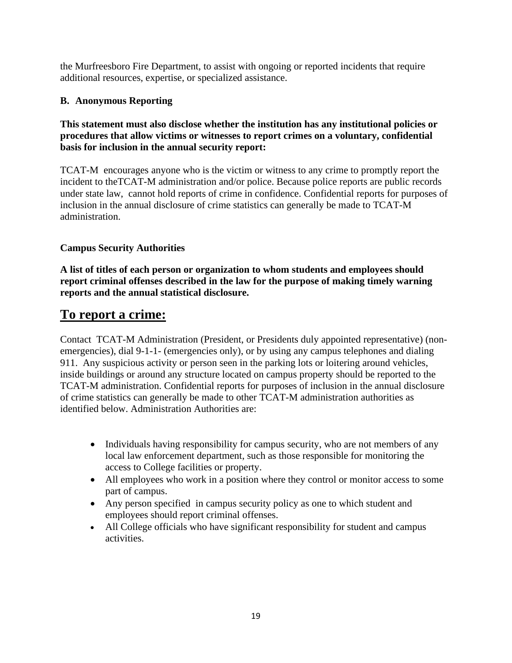the Murfreesboro Fire Department, to assist with ongoing or reported incidents that require additional resources, expertise, or specialized assistance.

### **B. Anonymous Reporting**

### **This statement must also disclose whether the institution has any institutional policies or procedures that allow victims or witnesses to report crimes on a voluntary, confidential basis for inclusion in the annual security report:**

TCAT-M encourages anyone who is the victim or witness to any crime to promptly report the incident to theTCAT-M administration and/or police. Because police reports are public records under state law, cannot hold reports of crime in confidence. Confidential reports for purposes of inclusion in the annual disclosure of crime statistics can generally be made to TCAT-M administration.

### **Campus Security Authorities**

**A list of titles of each person or organization to whom students and employees should report criminal offenses described in the law for the purpose of making timely warning reports and the annual statistical disclosure.** 

### **To report a crime:**

Contact TCAT-M Administration (President, or Presidents duly appointed representative) (nonemergencies), dial 9-1-1- (emergencies only), or by using any campus telephones and dialing 911. Any suspicious activity or person seen in the parking lots or loitering around vehicles, inside buildings or around any structure located on campus property should be reported to the TCAT-M administration. Confidential reports for purposes of inclusion in the annual disclosure of crime statistics can generally be made to other TCAT-M administration authorities as identified below. Administration Authorities are:

- Individuals having responsibility for campus security, who are not members of any local law enforcement department, such as those responsible for monitoring the access to College facilities or property.
- All employees who work in a position where they control or monitor access to some part of campus.
- Any person specified in campus security policy as one to which student and employees should report criminal offenses.
- All College officials who have significant responsibility for student and campus activities.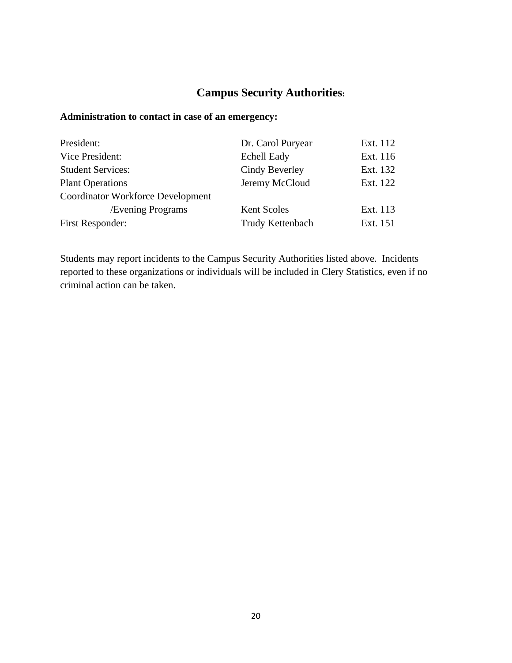### **Campus Security Authorities:**

### **Administration to contact in case of an emergency:**

| President:                               | Dr. Carol Puryear  | Ext. 112 |
|------------------------------------------|--------------------|----------|
| Vice President:                          | <b>Echell Eady</b> | Ext. 116 |
| <b>Student Services:</b>                 | Cindy Beverley     | Ext. 132 |
| <b>Plant Operations</b>                  | Jeremy McCloud     | Ext. 122 |
| <b>Coordinator Workforce Development</b> |                    |          |
| <b>Evening Programs</b>                  | Kent Scoles        | Ext. 113 |
| <b>First Responder:</b>                  | Trudy Kettenbach   | Ext. 151 |
|                                          |                    |          |

Students may report incidents to the Campus Security Authorities listed above. Incidents reported to these organizations or individuals will be included in Clery Statistics, even if no criminal action can be taken.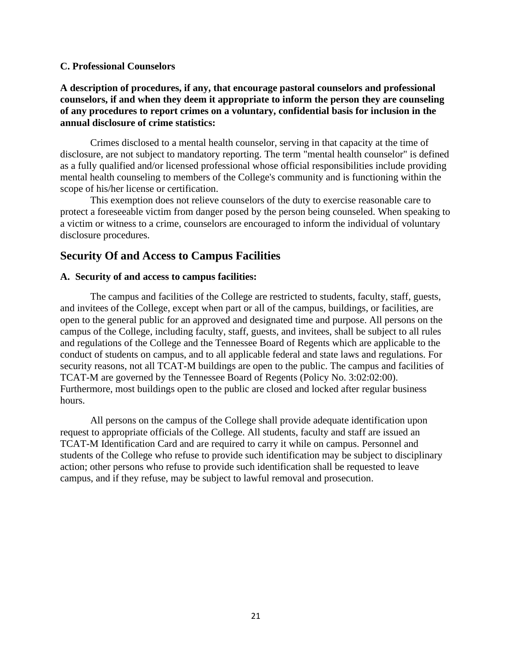### **C. Professional Counselors**

### **A description of procedures, if any, that encourage pastoral counselors and professional counselors, if and when they deem it appropriate to inform the person they are counseling of any procedures to report crimes on a voluntary, confidential basis for inclusion in the annual disclosure of crime statistics:**

Crimes disclosed to a mental health counselor, serving in that capacity at the time of disclosure, are not subject to mandatory reporting. The term "mental health counselor" is defined as a fully qualified and/or licensed professional whose official responsibilities include providing mental health counseling to members of the College's community and is functioning within the scope of his/her license or certification.

This exemption does not relieve counselors of the duty to exercise reasonable care to protect a foreseeable victim from danger posed by the person being counseled. When speaking to a victim or witness to a crime, counselors are encouraged to inform the individual of voluntary disclosure procedures.

### **Security Of and Access to Campus Facilities**

### **A. Security of and access to campus facilities:**

The campus and facilities of the College are restricted to students, faculty, staff, guests, and invitees of the College, except when part or all of the campus, buildings, or facilities, are open to the general public for an approved and designated time and purpose. All persons on the campus of the College, including faculty, staff, guests, and invitees, shall be subject to all rules and regulations of the College and the Tennessee Board of Regents which are applicable to the conduct of students on campus, and to all applicable federal and state laws and regulations. For security reasons, not all TCAT-M buildings are open to the public. The campus and facilities of TCAT-M are governed by the Tennessee Board of Regents (Policy No. 3:02:02:00). Furthermore, most buildings open to the public are closed and locked after regular business hours.

All persons on the campus of the College shall provide adequate identification upon request to appropriate officials of the College. All students, faculty and staff are issued an TCAT-M Identification Card and are required to carry it while on campus. Personnel and students of the College who refuse to provide such identification may be subject to disciplinary action; other persons who refuse to provide such identification shall be requested to leave campus, and if they refuse, may be subject to lawful removal and prosecution.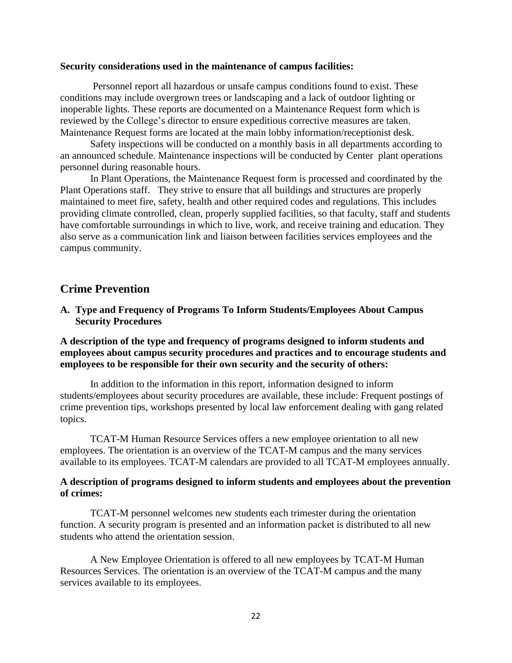#### **Security considerations used in the maintenance of campus facilities:**

Personnel report all hazardous or unsafe campus conditions found to exist. These conditions may include overgrown trees or landscaping and a lack of outdoor lighting or inoperable lights. These reports are documented on a Maintenance Request form which is reviewed by the College's director to ensure expeditious corrective measures are taken. Maintenance Request forms are located at the main lobby information/receptionist desk.

Safety inspections will be conducted on a monthly basis in all departments according to an announced schedule. Maintenance inspections will be conducted by Center plant operations personnel during reasonable hours.

In Plant Operations, the Maintenance Request form is processed and coordinated by the Plant Operations staff. They strive to ensure that all buildings and structures are properly maintained to meet fire, safety, health and other required codes and regulations. This includes providing climate controlled, clean, properly supplied facilities, so that faculty, staff and students have comfortable surroundings in which to live, work, and receive training and education. They also serve as a communication link and liaison between facilities services employees and the campus community.

### **Crime Prevention**

**A. Type and Frequency of Programs To Inform Students/Employees About Campus Security Procedures**

### **A description of the type and frequency of programs designed to inform students and employees about campus security procedures and practices and to encourage students and employees to be responsible for their own security and the security of others:**

In addition to the information in this report, information designed to inform students/employees about security procedures are available, these include: Frequent postings of crime prevention tips, workshops presented by local law enforcement dealing with gang related topics.

TCAT-M Human Resource Services offers a new employee orientation to all new employees. The orientation is an overview of the TCAT-M campus and the many services available to its employees. TCAT-M calendars are provided to all TCAT-M employees annually.

### **A description of programs designed to inform students and employees about the prevention of crimes:**

TCAT-M personnel welcomes new students each trimester during the orientation function. A security program is presented and an information packet is distributed to all new students who attend the orientation session.

A New Employee Orientation is offered to all new employees by TCAT-M Human Resources Services. The orientation is an overview of the TCAT-M campus and the many services available to its employees.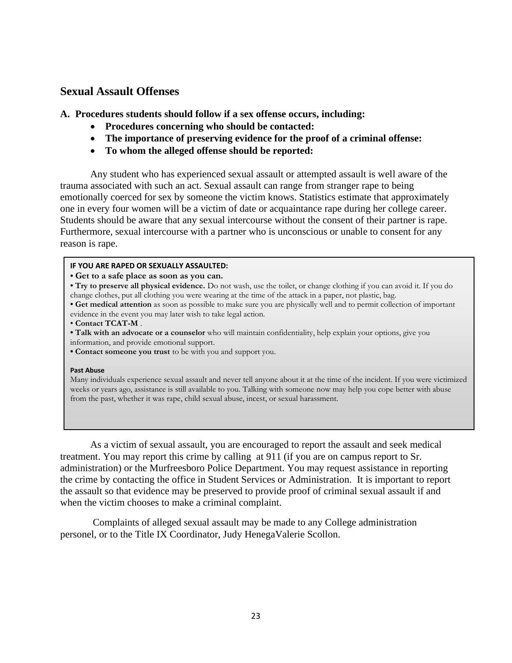### **Sexual Assault Offenses**

**A. Procedures students should follow if a sex offense occurs, including:**

- **Procedures concerning who should be contacted:**
- **The importance of preserving evidence for the proof of a criminal offense:**
- **To whom the alleged offense should be reported:**

Any student who has experienced sexual assault or attempted assault is well aware of the trauma associated with such an act. Sexual assault can range from stranger rape to being emotionally coerced for sex by someone the victim knows. Statistics estimate that approximately one in every four women will be a victim of date or acquaintance rape during her college career. Students should be aware that any sexual intercourse without the consent of their partner is rape. Furthermore, sexual intercourse with a partner who is unconscious or unable to consent for any reason is rape.

### **IF YOU ARE RAPED OR SEXUALLY ASSAULTED:**

**• Get to a safe place as soon as you can.**

**• Try to preserve all physical evidence.** Do not wash, use the toilet, or change clothing if you can avoid it. If you do change clothes, put all clothing you were wearing at the time of the attack in a paper, not plastic, bag.

**• Get medical attention** as soon as possible to make sure you are physically well and to permit collection of important evidence in the event you may later wish to take legal action.

- **Contact TCAT-M** .
- **Talk with an advocate or a counselor** who will maintain confidentiality, help explain your options, give you
- information, and provide emotional support.
- **Contact someone you trust** to be with you and support you.

#### **Past Abuse**

Many individuals experience sexual assault and never tell anyone about it at the time of the incident. If you were victimized weeks or years ago, assistance is still available to you. Talking with someone now may help you cope better with abuse from the past, whether it was rape, child sexual abuse, incest, or sexual harassment.

As a victim of sexual assault, you are encouraged to report the assault and seek medical treatment. You may report this crime by calling at 911 (if you are on campus report to Sr. administration) or the Murfreesboro Police Department. You may request assistance in reporting the crime by contacting the office in Student Services or Administration. It is important to report the assault so that evidence may be preserved to provide proof of criminal sexual assault if and when the victim chooses to make a criminal complaint.

 Complaints of alleged sexual assault may be made to any College administration personel, or to the Title IX Coordinator, Judy HenegaValerie Scollon.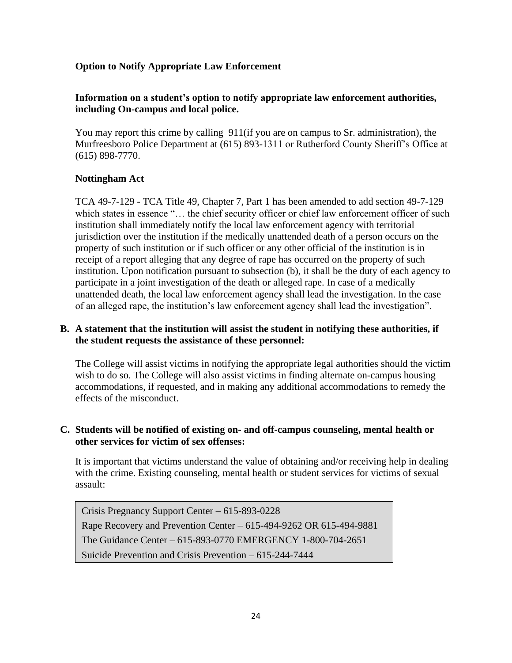### **Option to Notify Appropriate Law Enforcement**

### **Information on a student's option to notify appropriate law enforcement authorities, including On-campus and local police.**

You may report this crime by calling 911(if you are on campus to Sr. administration), the Murfreesboro Police Department at (615) 893-1311 or Rutherford County Sheriff's Office at (615) 898-7770.

### **Nottingham Act**

TCA 49-7-129 - TCA Title 49, Chapter 7, Part 1 has been amended to add section 49-7-129 which states in essence "... the chief security officer or chief law enforcement officer of such institution shall immediately notify the local law enforcement agency with territorial jurisdiction over the institution if the medically unattended death of a person occurs on the property of such institution or if such officer or any other official of the institution is in receipt of a report alleging that any degree of rape has occurred on the property of such institution. Upon notification pursuant to subsection (b), it shall be the duty of each agency to participate in a joint investigation of the death or alleged rape. In case of a medically unattended death, the local law enforcement agency shall lead the investigation. In the case of an alleged rape, the institution's law enforcement agency shall lead the investigation".

### **B. A statement that the institution will assist the student in notifying these authorities, if the student requests the assistance of these personnel:**

The College will assist victims in notifying the appropriate legal authorities should the victim wish to do so. The College will also assist victims in finding alternate on-campus housing accommodations, if requested, and in making any additional accommodations to remedy the effects of the misconduct.

### **C. Students will be notified of existing on- and off-campus counseling, mental health or other services for victim of sex offenses:**

It is important that victims understand the value of obtaining and/or receiving help in dealing with the crime. Existing counseling, mental health or student services for victims of sexual assault:

Crisis Pregnancy Support Center – 615-893-0228 Rape Recovery and Prevention Center – 615-494-9262 OR 615-494-9881 The Guidance Center – 615-893-0770 EMERGENCY 1-800-704-2651 Suicide Prevention and Crisis Prevention – 615-244-7444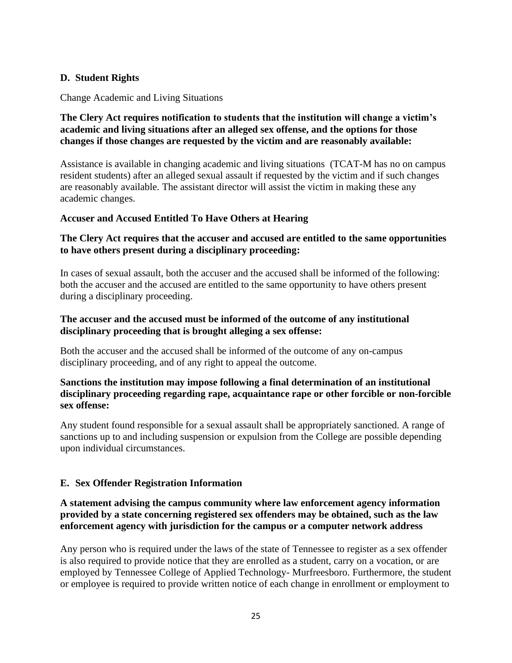### **D. Student Rights**

Change Academic and Living Situations

### **The Clery Act requires notification to students that the institution will change a victim's academic and living situations after an alleged sex offense, and the options for those changes if those changes are requested by the victim and are reasonably available:**

Assistance is available in changing academic and living situations (TCAT-M has no on campus resident students) after an alleged sexual assault if requested by the victim and if such changes are reasonably available. The assistant director will assist the victim in making these any academic changes.

### **Accuser and Accused Entitled To Have Others at Hearing**

### **The Clery Act requires that the accuser and accused are entitled to the same opportunities to have others present during a disciplinary proceeding:**

In cases of sexual assault, both the accuser and the accused shall be informed of the following: both the accuser and the accused are entitled to the same opportunity to have others present during a disciplinary proceeding.

### **The accuser and the accused must be informed of the outcome of any institutional disciplinary proceeding that is brought alleging a sex offense:**

Both the accuser and the accused shall be informed of the outcome of any on-campus disciplinary proceeding, and of any right to appeal the outcome.

### **Sanctions the institution may impose following a final determination of an institutional disciplinary proceeding regarding rape, acquaintance rape or other forcible or non-forcible sex offense:**

Any student found responsible for a sexual assault shall be appropriately sanctioned. A range of sanctions up to and including suspension or expulsion from the College are possible depending upon individual circumstances.

### **E. Sex Offender Registration Information**

### **A statement advising the campus community where law enforcement agency information provided by a state concerning registered sex offenders may be obtained, such as the law enforcement agency with jurisdiction for the campus or a computer network address**

Any person who is required under the laws of the state of Tennessee to register as a sex offender is also required to provide notice that they are enrolled as a student, carry on a vocation, or are employed by Tennessee College of Applied Technology- Murfreesboro. Furthermore, the student or employee is required to provide written notice of each change in enrollment or employment to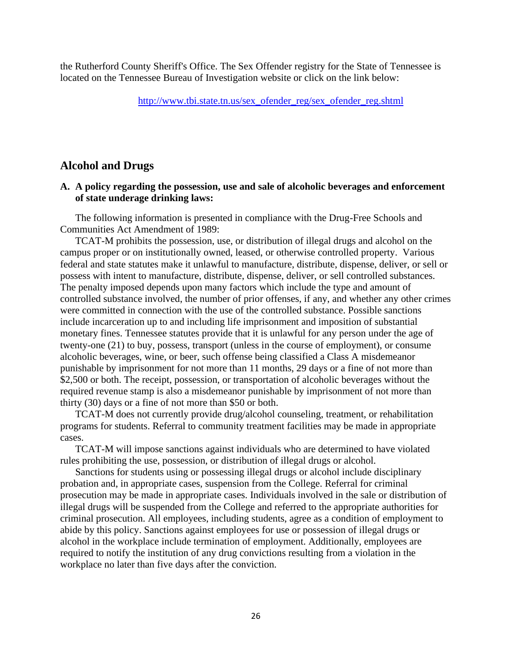the Rutherford County Sheriff's Office. The Sex Offender registry for the State of Tennessee is located on the Tennessee Bureau of Investigation website or click on the link below:

[http://www.tbi.state.tn.us/sex\\_ofender\\_reg/sex\\_ofender\\_reg.shtml](http://www.tbi.state.tn.us/sex_ofender_reg/sex_ofender_reg.shtml)

### **Alcohol and Drugs**

### **A. A policy regarding the possession, use and sale of alcoholic beverages and enforcement of state underage drinking laws:**

The following information is presented in compliance with the Drug-Free Schools and Communities Act Amendment of 1989:

TCAT-M prohibits the possession, use, or distribution of illegal drugs and alcohol on the campus proper or on institutionally owned, leased, or otherwise controlled property. Various federal and state statutes make it unlawful to manufacture, distribute, dispense, deliver, or sell or possess with intent to manufacture, distribute, dispense, deliver, or sell controlled substances. The penalty imposed depends upon many factors which include the type and amount of controlled substance involved, the number of prior offenses, if any, and whether any other crimes were committed in connection with the use of the controlled substance. Possible sanctions include incarceration up to and including life imprisonment and imposition of substantial monetary fines. Tennessee statutes provide that it is unlawful for any person under the age of twenty-one (21) to buy, possess, transport (unless in the course of employment), or consume alcoholic beverages, wine, or beer, such offense being classified a Class A misdemeanor punishable by imprisonment for not more than 11 months, 29 days or a fine of not more than \$2,500 or both. The receipt, possession, or transportation of alcoholic beverages without the required revenue stamp is also a misdemeanor punishable by imprisonment of not more than thirty (30) days or a fine of not more than \$50 or both.

TCAT-M does not currently provide drug/alcohol counseling, treatment, or rehabilitation programs for students. Referral to community treatment facilities may be made in appropriate cases.

TCAT-M will impose sanctions against individuals who are determined to have violated rules prohibiting the use, possession, or distribution of illegal drugs or alcohol.

Sanctions for students using or possessing illegal drugs or alcohol include disciplinary probation and, in appropriate cases, suspension from the College. Referral for criminal prosecution may be made in appropriate cases. Individuals involved in the sale or distribution of illegal drugs will be suspended from the College and referred to the appropriate authorities for criminal prosecution. All employees, including students, agree as a condition of employment to abide by this policy. Sanctions against employees for use or possession of illegal drugs or alcohol in the workplace include termination of employment. Additionally, employees are required to notify the institution of any drug convictions resulting from a violation in the workplace no later than five days after the conviction.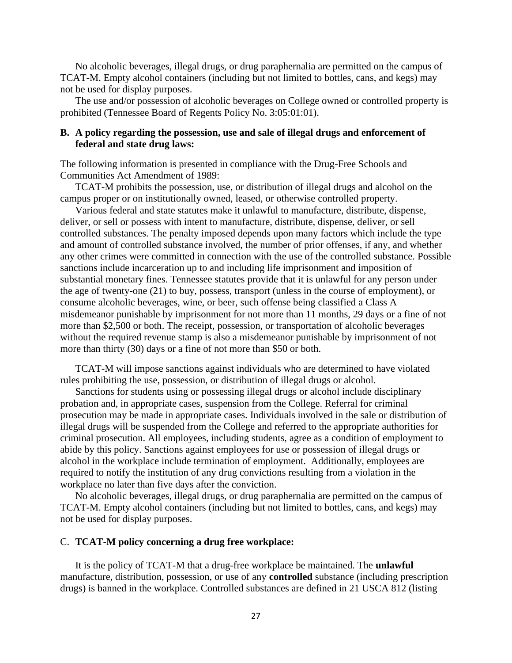No alcoholic beverages, illegal drugs, or drug paraphernalia are permitted on the campus of TCAT-M. Empty alcohol containers (including but not limited to bottles, cans, and kegs) may not be used for display purposes.

The use and/or possession of alcoholic beverages on College owned or controlled property is prohibited (Tennessee Board of Regents Policy No. 3:05:01:01).

### **B. A policy regarding the possession, use and sale of illegal drugs and enforcement of federal and state drug laws:**

The following information is presented in compliance with the Drug-Free Schools and Communities Act Amendment of 1989:

TCAT-M prohibits the possession, use, or distribution of illegal drugs and alcohol on the campus proper or on institutionally owned, leased, or otherwise controlled property.

Various federal and state statutes make it unlawful to manufacture, distribute, dispense, deliver, or sell or possess with intent to manufacture, distribute, dispense, deliver, or sell controlled substances. The penalty imposed depends upon many factors which include the type and amount of controlled substance involved, the number of prior offenses, if any, and whether any other crimes were committed in connection with the use of the controlled substance. Possible sanctions include incarceration up to and including life imprisonment and imposition of substantial monetary fines. Tennessee statutes provide that it is unlawful for any person under the age of twenty-one (21) to buy, possess, transport (unless in the course of employment), or consume alcoholic beverages, wine, or beer, such offense being classified a Class A misdemeanor punishable by imprisonment for not more than 11 months, 29 days or a fine of not more than \$2,500 or both. The receipt, possession, or transportation of alcoholic beverages without the required revenue stamp is also a misdemeanor punishable by imprisonment of not more than thirty (30) days or a fine of not more than \$50 or both.

TCAT-M will impose sanctions against individuals who are determined to have violated rules prohibiting the use, possession, or distribution of illegal drugs or alcohol.

Sanctions for students using or possessing illegal drugs or alcohol include disciplinary probation and, in appropriate cases, suspension from the College. Referral for criminal prosecution may be made in appropriate cases. Individuals involved in the sale or distribution of illegal drugs will be suspended from the College and referred to the appropriate authorities for criminal prosecution. All employees, including students, agree as a condition of employment to abide by this policy. Sanctions against employees for use or possession of illegal drugs or alcohol in the workplace include termination of employment. Additionally, employees are required to notify the institution of any drug convictions resulting from a violation in the workplace no later than five days after the conviction.

No alcoholic beverages, illegal drugs, or drug paraphernalia are permitted on the campus of TCAT-M. Empty alcohol containers (including but not limited to bottles, cans, and kegs) may not be used for display purposes.

### C. **TCAT-M policy concerning a drug free workplace:**

It is the policy of TCAT-M that a drug-free workplace be maintained. The **unlawful**  manufacture, distribution, possession, or use of any **controlled** substance (including prescription drugs) is banned in the workplace. Controlled substances are defined in 21 USCA 812 (listing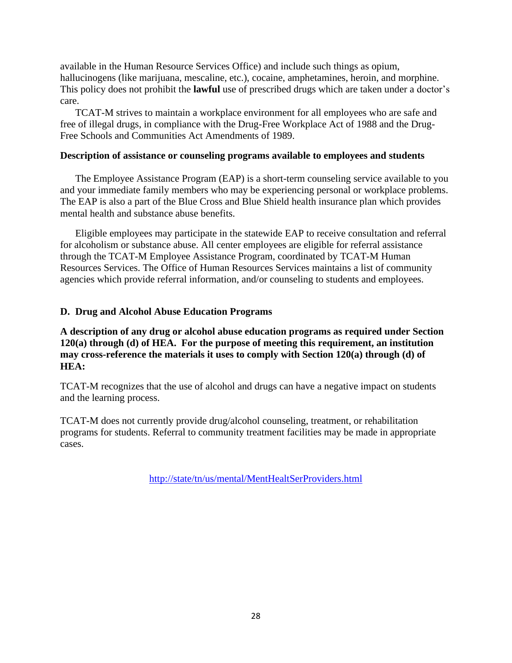available in the Human Resource Services Office) and include such things as opium, hallucinogens (like marijuana, mescaline, etc.), cocaine, amphetamines, heroin, and morphine. This policy does not prohibit the **lawful** use of prescribed drugs which are taken under a doctor's care.

TCAT-M strives to maintain a workplace environment for all employees who are safe and free of illegal drugs, in compliance with the Drug-Free Workplace Act of 1988 and the Drug-Free Schools and Communities Act Amendments of 1989.

### **Description of assistance or counseling programs available to employees and students**

The Employee Assistance Program (EAP) is a short-term counseling service available to you and your immediate family members who may be experiencing personal or workplace problems. The EAP is also a part of the Blue Cross and Blue Shield health insurance plan which provides mental health and substance abuse benefits.

Eligible employees may participate in the statewide EAP to receive consultation and referral for alcoholism or substance abuse. All center employees are eligible for referral assistance through the TCAT-M Employee Assistance Program, coordinated by TCAT-M Human Resources Services. The Office of Human Resources Services maintains a list of community agencies which provide referral information, and/or counseling to students and employees.

### **D. Drug and Alcohol Abuse Education Programs**

**A description of any drug or alcohol abuse education programs as required under Section 120(a) through (d) of HEA. For the purpose of meeting this requirement, an institution may cross-reference the materials it uses to comply with Section 120(a) through (d) of HEA:**

TCAT-M recognizes that the use of alcohol and drugs can have a negative impact on students and the learning process.

TCAT-M does not currently provide drug/alcohol counseling, treatment, or rehabilitation programs for students. Referral to community treatment facilities may be made in appropriate cases.

<http://state/tn/us/mental/MentHealtSerProviders.html>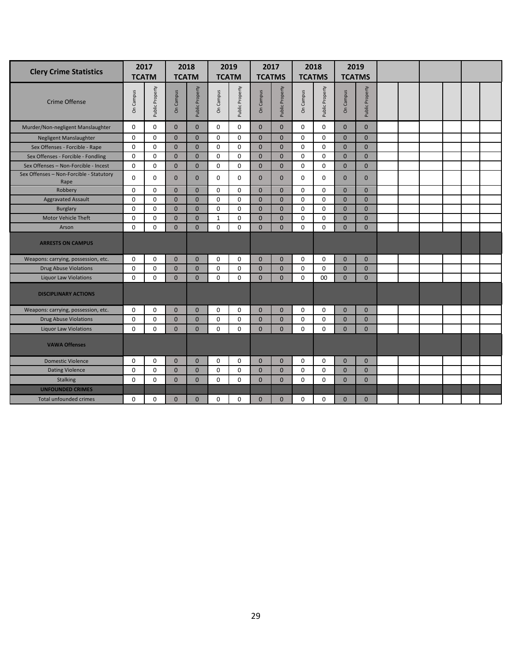| <b>Clery Crime Statistics</b>                   | 2017<br><b>TCATM</b> |                             | 2018<br><b>TCATM</b> |                 | 2019<br><b>TCATM</b> |                 | 2017<br><b>TCATMS</b> |                 | 2018<br><b>TCATMS</b> |                 | <b>TCATMS</b> | 2019            |  |  |  |
|-------------------------------------------------|----------------------|-----------------------------|----------------------|-----------------|----------------------|-----------------|-----------------------|-----------------|-----------------------|-----------------|---------------|-----------------|--|--|--|
| <b>Crime Offense</b>                            | On Campus            | Public Property             |                      | Public Property | On Campus            | Public Property | On Campus             | Public Property | On Campus             | Public Property | On Campus     | Public Property |  |  |  |
| Murder/Non-negligent Manslaughter               | $\mathbf 0$          | $\Omega$                    | $\mathbf{0}$         | $\mathbf{0}$    | $\mathbf 0$          | $\mathbf 0$     | $\mathbf{0}$          | $\mathbf{0}$    | 0                     | 0               | $\mathbf{0}$  | $\mathbf{0}$    |  |  |  |
| Negligent Manslaughter                          | $\mathbf 0$          | 0                           | $\mathbf{0}$         | $\mathbf{0}$    | $\mathbf 0$          | $\Omega$        | $\mathbf{0}$          | $\mathbf{0}$    | 0                     | $\mathbf 0$     | $\mathbf{0}$  | $\mathbf{0}$    |  |  |  |
| Sex Offenses - Forcible - Rape                  | $\Omega$             | $\Omega$                    | $\Omega$             | $\Omega$        | $\Omega$             | $\Omega$        | $\Omega$              | $\mathbf{0}$    | $\Omega$              | $\Omega$        | $\Omega$      | $\Omega$        |  |  |  |
| Sex Offenses - Forcible - Fondling              | $\mathbf 0$          | $\mathbf 0$                 | $\mathbf{0}$         | $\mathbf{0}$    | $\mathbf 0$          | 0               | $\mathbf{0}$          | $\mathbf{0}$    | 0                     | $\mathbf 0$     | $\mathbf{0}$  | $\mathbf{0}$    |  |  |  |
| Sex Offenses - Non-Forcible - Incest            | $\mathbf 0$          | $\Omega$                    | $\Omega$             | $\mathbf{0}$    | 0                    | 0               | $\Omega$              | $\mathbf{0}$    | 0                     | 0               | $\Omega$      | $\Omega$        |  |  |  |
| Sex Offenses - Non-Forcible - Statutory<br>Rape | $\Omega$             | $\mathbf 0$                 | $\mathbf{0}$         | $\mathbf{0}$    | $\mathbf 0$          | $\mathbf 0$     | $\mathbf{0}$          | $\mathbf{0}$    | 0                     | $\mathbf 0$     | $\mathbf{0}$  | $\mathbf{0}$    |  |  |  |
| Robbery                                         | $\Omega$             | $\Omega$                    | $\mathbf{0}$         | $\mathbf{0}$    | $\Omega$             | $\Omega$        | $\Omega$              | $\mathbf{0}$    | 0                     | $\Omega$        | $\Omega$      | $\Omega$        |  |  |  |
| <b>Aggravated Assault</b>                       | $\mathbf 0$          | $\mathbf 0$                 | $\mathbf{0}$         | $\mathbf{0}$    | $\mathbf 0$          | 0               | $\mathbf{0}$          | $\mathbf{0}$    | 0                     | $\Omega$        | $\mathbf{0}$  | $\mathbf{0}$    |  |  |  |
| <b>Burglary</b>                                 | $\Omega$             | $\mathbf 0$                 | $\mathbf{0}$         | $\mathbf{0}$    | $\mathbf 0$          | $\mathbf 0$     | $\overline{0}$        | $\mathbf{0}$    | 0                     | $\Omega$        | $\Omega$      | $\mathbf{0}$    |  |  |  |
| Motor Vehicle Theft                             | $\mathbf 0$          | $\mathbf 0$                 |                      | $\mathbf{0}$    | $\mathbf{1}$         | $\mathbf 0$     | $\overline{0}$        | $\mathbf{0}$    | 0                     | $\mathbf 0$     | $\mathbf{0}$  | $\overline{0}$  |  |  |  |
| Arson                                           | $\Omega$             | $\Omega$                    | $\mathbf{0}$         | $\mathbf{0}$    | $\Omega$             | $\Omega$        | $\mathbf{0}$          | $\Omega$        | 0                     | $\Omega$        | $\Omega$      | $\mathbf{0}$    |  |  |  |
| <b>ARRESTS ON CAMPUS</b>                        |                      |                             |                      |                 |                      |                 |                       |                 |                       |                 |               |                 |  |  |  |
| Weapons: carrying, possession, etc.             | 0                    | $\Omega$                    | $\mathbf{0}$         | $\mathbf{0}$    | $\Omega$             | 0               | $\Omega$              | $\mathbf{0}$    | 0                     | $\Omega$        | $\Omega$      | $\overline{0}$  |  |  |  |
| <b>Drug Abuse Violations</b>                    | $\mathbf 0$          | $\mathbf 0$                 | $\mathbf{0}$         | $\mathbf{0}$    | $\mathbf 0$          | $\mathbf 0$     | $\mathbf{0}$          | $\mathbf{0}$    | 0                     | $\mathbf 0$     | $\mathbf{0}$  | $\mathbf 0$     |  |  |  |
| <b>Liquor Law Violations</b>                    | $\Omega$             | $\Omega$                    | $\mathbf{0}$         | $\Omega$        | $\Omega$             | $\Omega$        | $\Omega$              | $\Omega$        | $\Omega$              | 00              | $\Omega$      | $\mathbf{0}$    |  |  |  |
| <b>DISCIPLINARY ACTIONS</b>                     |                      |                             |                      |                 |                      |                 |                       |                 |                       |                 |               |                 |  |  |  |
| Weapons: carrying, possession, etc.             | 0                    | 0                           | $\mathbf{0}$         | $\mathbf{0}$    | $\Omega$             | 0               | $\mathbf{0}$          | $\mathbf{0}$    | 0                     | $\Omega$        | $\Omega$      | $\overline{0}$  |  |  |  |
| <b>Drug Abuse Violations</b>                    | $\mathbf 0$          | $\mathbf 0$                 | $\mathbf{0}$         | $\mathbf{0}$    | $\mathbf 0$          | $\mathbf 0$     | $\mathbf{0}$          | $\mathbf{0}$    | 0                     | $\mathbf 0$     | $\mathbf{0}$  | $\mathbf{0}$    |  |  |  |
| <b>Liquor Law Violations</b>                    | 0                    | $\mathbf 0$                 | $\mathbf{0}$         | $\mathbf{0}$    | $\Omega$             | $\mathbf 0$     | $\overline{0}$        | $\mathbf{0}$    | 0                     | $\Omega$        | $\mathbf{0}$  | $\mathbf{0}$    |  |  |  |
| <b>VAWA Offenses</b>                            |                      |                             |                      |                 |                      |                 |                       |                 |                       |                 |               |                 |  |  |  |
| <b>Domestic Violence</b>                        | $\mathbf 0$          | $\mathbf 0$                 | $\mathbf{0}$         | $\mathbf{0}$    | $\Omega$             | $\mathbf 0$     | $\mathbf{0}$          | $\mathbf{0}$    | 0                     | $\mathbf 0$     | $\Omega$      | $\mathbf{0}$    |  |  |  |
| <b>Dating Violence</b>                          | $\mathbf 0$          | $\mathbf 0$<br>$\mathbf{0}$ |                      | $\mathbf{0}$    | $\mathbf 0$          | $\mathbf 0$     | $\mathbf{0}$          | $\mathbf{0}$    | 0                     | $\mathbf 0$     | $\mathbf{0}$  | $\mathbf 0$     |  |  |  |
| Stalking                                        | $\mathbf 0$          | $\mathbf 0$                 | $\mathbf{0}$         | $\mathbf{0}$    | $\mathbf 0$          | $\mathbf 0$     | $\overline{0}$        | $\mathbf{0}$    | 0                     | $\mathbf 0$     | $\mathbf{0}$  | $\mathbf{0}$    |  |  |  |
| <b>UNFOUNDED CRIMES</b>                         |                      |                             |                      |                 |                      |                 |                       |                 |                       |                 |               |                 |  |  |  |
| <b>Total unfounded crimes</b>                   | $\mathbf 0$          | $\mathbf 0$                 | $\mathbf{0}$         | $\mathbf{0}$    | 0                    | $\mathbf 0$     | $\overline{0}$        | $\mathbf{0}$    | 0                     | $\mathbf 0$     | $\mathbf{0}$  | $\mathbf{0}$    |  |  |  |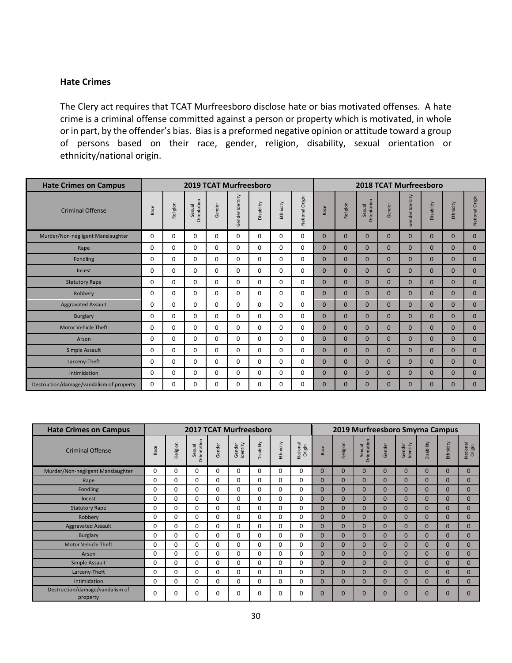### **Hate Crimes**

The Clery act requires that TCAT Murfreesboro disclose hate or bias motivated offenses. A hate crime is a criminal offense committed against a person or property which is motivated, in whole or in part, by the offender's bias. Bias is a preformed negative opinion or attitude toward a group of persons based on their race, gender, religion, disability, sexual orientation or ethnicity/national origin.

| <b>Hate Crimes on Campus</b>             |          |          | <b>2019 TCAT Murfreesboro</b> |          |                 |            |           |                 | <b>2018 TCAT Murfreesboro</b> |                |                              |                |                 |                |              |                 |  |
|------------------------------------------|----------|----------|-------------------------------|----------|-----------------|------------|-----------|-----------------|-------------------------------|----------------|------------------------------|----------------|-----------------|----------------|--------------|-----------------|--|
| <b>Criminal Offense</b>                  | Race     | Religion | Orientation<br>Sexual         | Gender   | Gender Identity | Disability | Ethnicity | National Origin | Race                          | Religion       | <b>Orientation</b><br>Sexual | Gender         | Gender Identity | Disability     | Ethnicity    | National Origin |  |
| Murder/Non-negligent Manslaughter        | 0        | 0        | $\Omega$                      | 0        | $\Omega$        | 0          | 0         | 0               | $\Omega$                      | $\mathbf{0}$   | $\Omega$                     | $\mathbf{0}$   | $\mathbf{0}$    | $\mathbf{0}$   | $\mathbf{0}$ | $\mathbf{0}$    |  |
| Rape                                     | 0        | 0        | $\Omega$                      | $\Omega$ | 0               | 0          | $\Omega$  | 0               | $\mathbf{0}$                  | $\overline{0}$ | $\Omega$                     | $\overline{0}$ | $\mathbf{0}$    | $\overline{0}$ | $\mathbf{0}$ | $\overline{0}$  |  |
| Fondling                                 | 0        | 0        | $\Omega$                      | $\Omega$ | 0               | 0          | $\Omega$  | 0               | $\mathbf{0}$                  | $\overline{0}$ | $\Omega$                     | $\overline{0}$ | $\mathbf{0}$    | $\overline{0}$ | $\mathbf{0}$ | $\overline{0}$  |  |
| Incest                                   | 0        | 0        | $\Omega$                      | $\Omega$ | $\Omega$        | 0          | $\Omega$  | 0               | $\Omega$                      | $\overline{0}$ | $\Omega$                     | $\Omega$       | $\mathbf{0}$    | $\overline{0}$ | $\mathbf{0}$ | $\overline{0}$  |  |
| <b>Statutory Rape</b>                    | 0        | 0        | 0                             | 0        | 0               | 0          | 0         | 0               | $\mathbf{0}$                  | $\mathbf{0}$   | $\Omega$                     | $\mathbf{0}$   | $\mathbf{0}$    | $\mathbf{0}$   | $\mathbf{0}$ | $\overline{0}$  |  |
| Robbery                                  | 0        | 0        | $\Omega$                      | $\Omega$ | 0               | 0          | $\Omega$  | 0               | $\mathbf{0}$                  | $\overline{0}$ | $\Omega$                     | $\overline{0}$ | $\mathbf{0}$    | $\overline{0}$ | $\mathbf{0}$ | $\overline{0}$  |  |
| <b>Aggravated Assault</b>                | $\Omega$ | 0        | $\Omega$                      | 0        | $\Omega$        | 0          | $\Omega$  | 0               | $\mathbf{0}$                  | $\overline{0}$ | $\Omega$                     | $\mathbf{0}$   | $\mathbf{0}$    | $\overline{0}$ | $\mathbf{0}$ | $\overline{0}$  |  |
| <b>Burglary</b>                          | 0        | 0        | $\Omega$                      | $\Omega$ | 0               | 0          | $\Omega$  | 0               | $\mathbf{0}$                  | $\overline{0}$ | $\Omega$                     | $\overline{0}$ | $\mathbf{0}$    | $\overline{0}$ | $\mathbf{0}$ | $\overline{0}$  |  |
| <b>Motor Vehicle Theft</b>               | $\Omega$ | 0        | 0                             | $\Omega$ | $\Omega$        | 0          | 0         | 0               | $\Omega$                      | $\overline{0}$ | $\Omega$                     | $\Omega$       | $\Omega$        | $\mathbf{0}$   | $\mathbf{0}$ | $\overline{0}$  |  |
| Arson                                    | $\Omega$ | 0        | $\Omega$                      | 0        | $\Omega$        | 0          | $\Omega$  | 0               | $\mathbf{0}$                  | $\overline{0}$ | $\Omega$                     | $\Omega$       | $\mathbf{0}$    | $\mathbf{0}$   | $\mathbf{0}$ | $\mathbf{0}$    |  |
| Simple Assault                           | 0        | 0        | $\Omega$                      | $\Omega$ | $\Omega$        | 0          | $\Omega$  | 0               | $\mathbf{0}$                  | $\overline{0}$ | $\Omega$                     | $\overline{0}$ | $\mathbf{0}$    | $\mathbf{0}$   | $\mathbf{0}$ | $\overline{0}$  |  |
| Larceny-Theft                            | $\Omega$ | 0        | $\Omega$                      | 0        | $\Omega$        | 0          | $\Omega$  | 0               | $\Omega$                      | $\mathbf{0}$   | $\Omega$                     | $\Omega$       | $\Omega$        | $\mathbf{0}$   | $\Omega$     | $\mathbf{0}$    |  |
| Intimidation                             | $\Omega$ | 0        | 0                             | 0        | $\Omega$        | 0          | 0         | 0               | $\mathbf{0}$                  | $\mathbf{0}$   | $\Omega$                     | $\Omega$       | $\mathbf{0}$    | $\mathbf{0}$   | $\mathbf{0}$ | $\mathbf{0}$    |  |
| Destruction/damage/vandalism of property | 0        | 0        | $\Omega$                      | 0        | $\Omega$        | 0          | $\Omega$  | 0               | $\Omega$                      | $\overline{0}$ | $\Omega$                     | $\Omega$       | $\mathbf{0}$    | $\overline{0}$ | $\mathbf{0}$ | $\overline{0}$  |  |

| <b>Hate Crimes on Campus</b>                |          |          |                       |        | <b>2017 TCAT Murfreesboro</b> |            |           |                    | 2019 Murfreesboro Smyrna Campus |                |                              |                |                    |                |                |                    |
|---------------------------------------------|----------|----------|-----------------------|--------|-------------------------------|------------|-----------|--------------------|---------------------------------|----------------|------------------------------|----------------|--------------------|----------------|----------------|--------------------|
| <b>Criminal Offense</b>                     | Race     | Religion | Orientation<br>Sexual | Gender | Identity<br>Gender            | Disability | Ethnicity | National<br>Origin | Race                            | Religion       | <b>Drientation</b><br>Sexual | Gender         | Gender<br>Identity | Disability     | Ethnicity      | National<br>Origin |
| Murder/Non-negligent Manslaughter           | 0        | 0        | 0                     | 0      | 0                             | 0          | $\Omega$  | 0                  | $\Omega$                        | $\Omega$       | $\Omega$                     | $\Omega$       | $\Omega$           | $\mathbf{0}$   | $\mathbf{0}$   | $\mathbf{0}$       |
| Rape                                        | 0        | 0        | $\Omega$              | 0      | 0                             | 0          | 0         | 0                  | $\mathbf{0}$                    | $\Omega$       | $\overline{0}$               | $\Omega$       | $\mathbf{0}$       | 0              | $\mathbf{0}$   | $\overline{0}$     |
| <b>Fondling</b>                             | 0        | 0        | $\Omega$              | 0      | $\mathbf 0$                   | 0          | $\Omega$  | 0                  | $\mathbf{0}$                    | $\overline{0}$ | $\Omega$                     | $\Omega$       | $\mathbf{0}$       | $\overline{0}$ | $\mathbf{0}$   | $\overline{0}$     |
| Incest                                      | 0        | 0        | $\Omega$              | 0      | $\mathbf 0$                   | 0          | $\Omega$  | 0                  | $\mathbf{0}$                    | 0              | 0                            | 0              | $\mathbf{0}$       | 0              | $\mathbf{0}$   | $\mathbf{0}$       |
| <b>Statutory Rape</b>                       | $\Omega$ | 0        | $\Omega$              | 0      | $\Omega$                      | 0          | $\Omega$  | 0                  | $\Omega$                        | $\overline{0}$ | $\Omega$                     | $\Omega$       | $\Omega$           | $\overline{0}$ | $\mathbf{0}$   | 0                  |
| Robbery                                     | 0        | 0        | $\Omega$              | 0      | $\mathbf 0$                   | 0          | $\Omega$  | 0                  | $\mathbf{0}$                    | 0              | $\Omega$                     | $\Omega$       | $\mathbf{0}$       | $\overline{0}$ | $\mathbf{0}$   | $\overline{0}$     |
| <b>Aggravated Assault</b>                   | 0        | 0        | $\Omega$              | 0      | 0                             | 0          | 0         | 0                  | $\mathbf{0}$                    | 0              | $\Omega$                     | $\Omega$       | $\mathbf{0}$       | $\mathbf{0}$   | $\mathbf{0}$   | $\overline{0}$     |
| <b>Burglary</b>                             | 0        | 0        | $\Omega$              | 0      | 0                             | 0          | $\Omega$  | 0                  | $\Omega$                        | 0              | $\Omega$                     | $\Omega$       | $\mathbf{0}$       | $\mathbf{0}$   | $\Omega$       | $\mathbf{0}$       |
| <b>Motor Vehicle Theft</b>                  | 0        | 0        | $\Omega$              | 0      | 0                             | 0          | 0         | 0                  | $\overline{0}$                  | 0              | $\Omega$                     | 0              | $\mathbf{0}$       | 0              | $\Omega$       | $\mathbf{0}$       |
| Arson                                       | $\Omega$ | 0        | $\Omega$              | 0      | $\Omega$                      | 0          | $\Omega$  | $\Omega$           | $\Omega$                        | $\Omega$       | $\overline{0}$               | $\Omega$       | $\Omega$           | $\Omega$       | $\Omega$       | $\Omega$           |
| Simple Assault                              | 0        | 0        | $\Omega$              | 0      | $\Omega$                      | 0          | $\Omega$  | 0                  | $\Omega$                        | $\Omega$       | $\overline{0}$               | $\overline{0}$ | $\Omega$           | $\overline{0}$ | $\Omega$       | $\Omega$           |
| Larceny-Theft                               | 0        | 0        | 0                     | 0      | 0                             | 0          | 0         | 0                  | $\Omega$                        | $\Omega$       | $\Omega$                     | 0              | $\Omega$           | $\Omega$       | $\Omega$       | $\Omega$           |
| Intimidation                                | 0        | 0        | $\Omega$              | 0      | 0                             | 0          | $\Omega$  | 0                  | $\overline{0}$                  | 0              | $\overline{0}$               | $\overline{0}$ | $\overline{0}$     | 0              | $\overline{0}$ | 0                  |
| Destruction/damage/vandalism of<br>property | 0        | 0        | $\Omega$              | 0      | 0                             | 0          | 0         | 0                  | $\Omega$                        | $\overline{0}$ | $\overline{0}$               | 0              | $\Omega$           | $\Omega$       | $\Omega$       | $\Omega$           |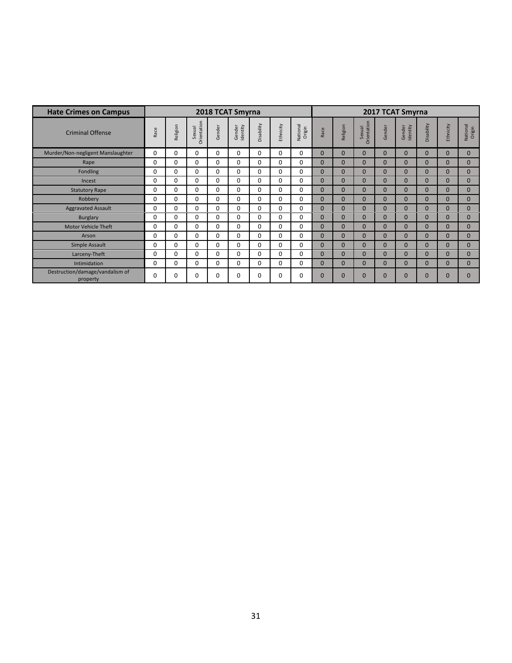| <b>Hate Crimes on Campus</b>                |          |          |                       |        | 2018 TCAT Smyrna   |            |           |                    | 2017 TCAT Smyrna |                |                       |              |                    |              |                |                    |  |
|---------------------------------------------|----------|----------|-----------------------|--------|--------------------|------------|-----------|--------------------|------------------|----------------|-----------------------|--------------|--------------------|--------------|----------------|--------------------|--|
| <b>Criminal Offense</b>                     | Race     | Religion | Orientation<br>Sexual | Gender | Gender<br>Identity | Disability | Ethnicity | National<br>Origin | Race             | Religion       | Orientation<br>Sexual | Gender       | Gender<br>Identity | Disability   | Ethnicity      | National<br>Origin |  |
| Murder/Non-negligent Manslaughter           | 0        | 0        | 0                     | 0      | $\Omega$           | 0          | $\Omega$  | 0                  | $\mathbf{0}$     | $\overline{0}$ | $\Omega$              | $\Omega$     | $\Omega$           | $\mathbf{0}$ | $\mathbf{0}$   | $\mathbf{0}$       |  |
| Rape                                        | 0        | 0        | $\Omega$              | 0      | 0                  | 0          | $\Omega$  | 0                  | $\Omega$         | $\mathbf{0}$   | $\Omega$              | $\Omega$     | $\overline{0}$     | $\mathbf{0}$ | $\overline{0}$ | $\mathbf{0}$       |  |
| <b>Fondling</b>                             | $\Omega$ | 0        | 0                     | 0      | $\Omega$           | 0          | $\Omega$  | 0                  | $\Omega$         | $\Omega$       | $\overline{0}$        | $\Omega$     | $\Omega$           | $\Omega$     | $\Omega$       | $\mathbf{0}$       |  |
| Incest                                      | 0        | 0        | 0                     | 0      | 0                  | 0          | $\Omega$  | 0                  | $\Omega$         | $\Omega$       | $\overline{0}$        | $\Omega$     | $\Omega$           | $\mathbf{0}$ | $\overline{0}$ | $\mathbf{0}$       |  |
| <b>Statutory Rape</b>                       | 0        | 0        | 0                     | 0      | 0                  | 0          | 0         | 0                  | $\mathbf{0}$     | $\overline{0}$ | $\mathbf 0$           | $\mathbf{0}$ | $\overline{0}$     | $\mathbf{0}$ | $\overline{0}$ | $\mathbf{0}$       |  |
| Robbery                                     | 0        | 0        | 0                     | 0      | 0                  | 0          | $\Omega$  | 0                  | $\Omega$         | $\overline{0}$ | $\Omega$              | $\Omega$     | $\Omega$           | $\mathbf{0}$ | $\overline{0}$ | 0                  |  |
| <b>Aggravated Assault</b>                   | 0        | 0        | 0                     | 0      | 0                  | 0          | $\Omega$  | 0                  | $\mathbf{0}$     | $\overline{0}$ | $\Omega$              | $\Omega$     | $\overline{0}$     | $\mathbf{0}$ | $\mathbf 0$    | $\mathbf{0}$       |  |
| Burglary                                    | 0        | 0        | 0                     | 0      | 0                  | 0          | $\Omega$  | 0                  | $\mathbf{0}$     | $\overline{0}$ | $\mathbf 0$           | $\mathbf{0}$ | $\mathbf 0$        | $\mathbf{0}$ | $\mathbf 0$    | $\mathbf{0}$       |  |
| <b>Motor Vehicle Theft</b>                  | 0        | 0        | 0                     | 0      | 0                  | 0          | $\Omega$  | 0                  | $\Omega$         | $\Omega$       | $\overline{0}$        | $\Omega$     | $\Omega$           | $\mathbf{0}$ | $\overline{0}$ | $\mathbf{0}$       |  |
| Arson                                       | 0        | 0        | 0                     | 0      | 0                  | 0          | $\Omega$  | 0                  | $\Omega$         | $\Omega$       | $\overline{0}$        | $\Omega$     | $\Omega$           | $\mathbf{0}$ | $\overline{0}$ | $\mathbf{0}$       |  |
| Simple Assault                              | 0        | 0        | 0                     | 0      | 0                  | 0          | $\Omega$  | 0                  | $\mathbf{0}$     | 0              | $\Omega$              | $\Omega$     | $\Omega$           | $\mathbf{0}$ | $\Omega$       | $\mathbf{0}$       |  |
| Larceny-Theft                               | 0        | 0        | 0                     | 0      | 0                  | 0          | $\Omega$  | 0                  | $\mathbf{0}$     | $\overline{0}$ | $\overline{0}$        | $\Omega$     | $\overline{0}$     | $\mathbf{0}$ | $\overline{0}$ | $\overline{0}$     |  |
| Intimidation                                | 0        | 0        | 0                     | 0      | 0                  | 0          | $\Omega$  | 0                  | $\Omega$         | 0              | $\Omega$              | $\Omega$     | $\Omega$           | $\mathbf{0}$ | $\Omega$       | $\overline{0}$     |  |
| Destruction/damage/vandalism of<br>property | 0        | 0        | 0                     | 0      | 0                  | 0          | 0         | 0                  | $\mathbf 0$      | $\overline{0}$ | $\overline{0}$        | $\Omega$     | $\overline{0}$     | $\mathbf{0}$ | $\Omega$       | $\Omega$           |  |